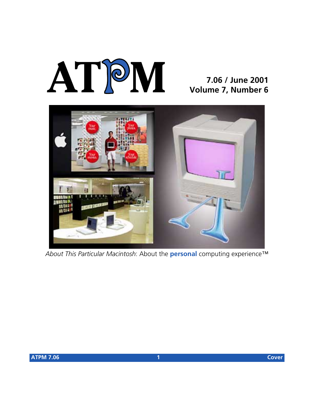# **AT**P**M**

#### **7.06 / June 2001 Volume 7, Number 6**



*About This Particular Macintosh*: About the **personal** computing experience™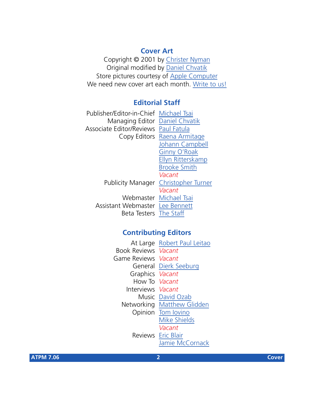#### **Cover Art**

Copyright © 2001 by [Christer Nyman](mailto:chri@worldonline.se) Original modified by [Daniel Chvatik](mailto:dchvatik@atpm.com) Store pictures courtesy of [Apple Computer](http://www.apple.com) We need new cover art each month. [Write to us!](mailto:cover-art@atpm.com)

#### **Editorial Staff**

| Publisher/Editor-in-Chief Michael Tsai |                                      |
|----------------------------------------|--------------------------------------|
| Managing Editor Daniel Chvatik         |                                      |
| Associate Editor/Reviews Paul Fatula   |                                      |
|                                        | Copy Editors Raena Armitage          |
|                                        | Johann Campbell                      |
|                                        | Ginny O'Roak                         |
|                                        | Ellyn Ritterskamp                    |
|                                        | <b>Brooke Smith</b>                  |
|                                        | Vacant                               |
|                                        | Publicity Manager Christopher Turner |
|                                        | Vacant                               |
|                                        | Webmaster Michael Tsai               |
| Assistant Webmaster Lee Bennett        |                                      |
| <b>Beta Testers</b> The Staff          |                                      |
|                                        |                                      |

#### **Contributing Editors**

| At Large Robert Paul Leitao |
|-----------------------------|
| <b>Book Reviews Vacant</b>  |
| Game Reviews Vacant         |
| General Dierk Seeburg       |
| Graphics Vacant             |
| How To Vacant               |
| Interviews <i>Vacant</i>    |
| Music David Ozab            |
| Networking Matthew Glidden  |
| Opinion Tom lovino          |
| <b>Mike Shields</b>         |
| Vacant                      |
| <b>Reviews</b> Eric Blair   |
| Jamie McCornack             |
|                             |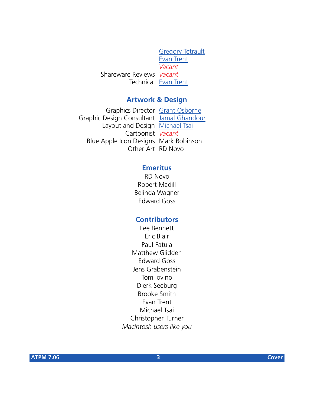[Gregory Tetrault](mailto:gtetrault@atpm.com) [Evan Trent](mailto:etrent@atpm.com) *Vacant* Shareware Reviews *Vacant* Technical [Evan Trent](mailto:etrent@atpm.com)

#### **Artwork & Design**

Graphics Director [Grant Osborne](mailto:gosborne@atpm.com) Graphic Design Consultant [Jamal Ghandour](mailto:jghandour@atpm.com) Layout and Design [Michael Tsai](mailto:mtsai@atpm.com) Cartoonist *Vacant* Blue Apple Icon Designs Mark Robinson Other Art RD Novo

#### **Emeritus**

RD Novo Robert Madill Belinda Wagner Edward Goss

#### **Contributors**

Lee Bennett Eric Blair Paul Fatula Matthew Glidden Edward Goss Jens Grabenstein Tom Iovino Dierk Seeburg Brooke Smith Evan Trent Michael Tsai Christopher Turner *Macintosh users like you*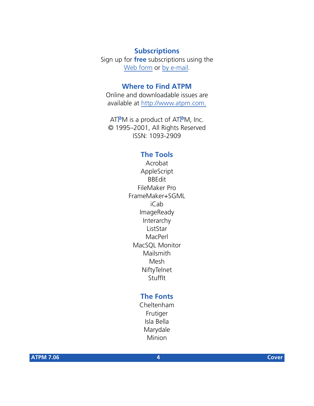#### **Subscriptions**

Sign up for **free** subscriptions using the [Web form](http://www.atpm.com/subscribe/) or [by e-mail.](mailto:subscriptions@atpm.com)

#### **Where to Find ATPM**

Online and downloadable issues are available at [http://www.atpm.com.](http://www.atpm.com)

ATPM is a product of ATPM, Inc. © 1995–2001, All Rights Reserved ISSN: 1093-2909

#### **The Tools**

Acrobat AppleScript BBEdit FileMaker Pro FrameMaker+SGML iCab ImageReady Interarchy ListStar MacPerl MacSQL Monitor Mailsmith Mesh NiftyTelnet StuffIt

#### **The Fonts**

Cheltenham Frutiger Isla Bella Marydale Minion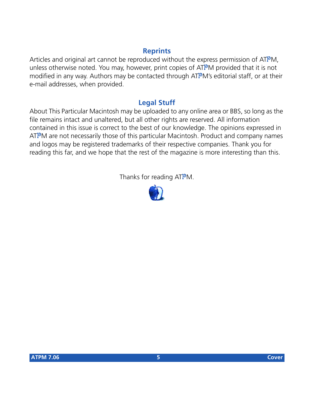#### **Reprints**

Articles and original art cannot be reproduced without the express permission of ATPM, unless otherwise noted. You may, however, print copies of ATPM provided that it is not modified in any way. Authors may be contacted through ATPM's editorial staff, or at their e-mail addresses, when provided.

#### **Legal Stuff**

About This Particular Macintosh may be uploaded to any online area or BBS, so long as the file remains intact and unaltered, but all other rights are reserved. All information contained in this issue is correct to the best of our knowledge. The opinions expressed in ATPM are not necessarily those of this particular Macintosh. Product and company names and logos may be registered trademarks of their respective companies. Thank you for reading this far, and we hope that the rest of the magazine is more interesting than this.

Thanks for reading ATPM.

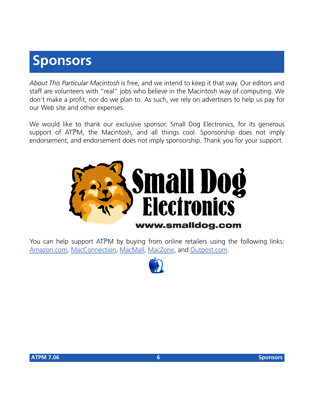## **Sponsors**

*About This Particular Macintosh* is free, and we intend to keep it that way. Our editors and staff are volunteers with "real" jobs who believe in the Macintosh way of computing. We don't make a profit, nor do we plan to. As such, we rely on advertisers to help us pay for our Web site and other expenses.

We would like to thank our exclusive sponsor, Small Dog Electronics, for its generous support of ATPM, the Macintosh, and all things cool. Sponsorship does not imply endorsement, and endorsement does not imply sponsorship. Thank you for your support.



You can help support ATPM by buying from online retailers using the following links: [Amazon.com](http://www.amazon.com/exec/obidos/redirect-home/aboutthisparticu), [MacConnection](http://service.bfast.com/bfast/click/mid9452939?siteid=13311227&bfpage=machomepage), [MacMall](http://www.commission-junction.com/track/track.dll?AID=53427&PID=297078&URL=http%3A%2F%2Fwww%2Emacmall%2Ecom%2Fmacaffiliate), [MacZone,](http://service.bfast.com/bfast/click?bfmid=1942029&siteid=26240435&bfpage=mac_zone) and [Outpost.com.](http://www.linksynergy.com/fs-bin/stat?id=N00D3BtDeo0&offerid=2161&type=3)

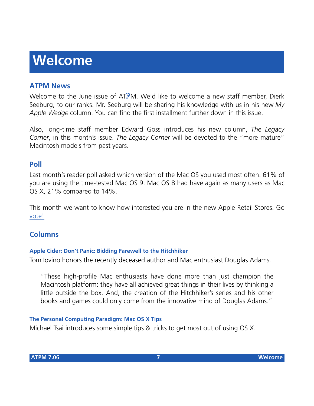# **Welcome**

#### **ATPM News**

Welcome to the June issue of ATPM. We'd like to welcome a new staff member, Dierk Seeburg, to our ranks. Mr. Seeburg will be sharing his knowledge with us in his new *My Apple Wedge* column. You can find the first installment further down in this issue.

Also, long-time staff member Edward Goss introduces his new column, *The Legacy Corner*, in this month's issue. *The Legacy Corner* will be devoted to the "more mature" Macintosh models from past years.

#### **Poll**

Last month's reader poll asked which version of the Mac OS you used most often. 61% of you are using the time-tested Mac OS 9. Mac OS 8 had have again as many users as Mac OS X, 21% compared to 14%.

This month we want to know how interested you are in the new Apple Retail Stores. Go [vote!](http://www.atpm.com/index.shtml#poll)

#### **Columns**

#### **Apple Cider: Don't Panic: Bidding Farewell to the Hitchhiker**

Tom Iovino honors the recently deceased author and Mac enthusiast Douglas Adams.

"These high-profile Mac enthusiasts have done more than just champion the Macintosh platform: they have all achieved great things in their lives by thinking a little outside the box. And, the creation of the Hitchhiker's series and his other books and games could only come from the innovative mind of Douglas Adams."

#### **The Personal Computing Paradigm: Mac OS X Tips**

Michael Tsai introduces some simple tips & tricks to get most out of using OS X.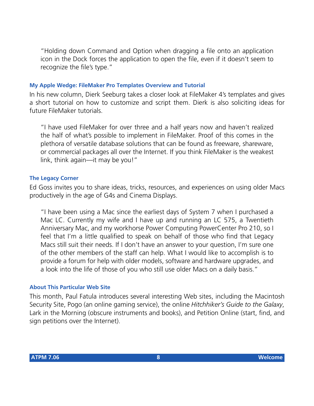"Holding down Command and Option when dragging a file onto an application icon in the Dock forces the application to open the file, even if it doesn't seem to recognize the file's type."

#### **My Apple Wedge: FileMaker Pro Templates Overview and Tutorial**

In his new column, Dierk Seeburg takes a closer look at FileMaker 4's templates and gives a short tutorial on how to customize and script them. Dierk is also soliciting ideas for future FileMaker tutorials.

"I have used FileMaker for over three and a half years now and haven't realized the half of what's possible to implement in FileMaker. Proof of this comes in the plethora of versatile database solutions that can be found as freeware, shareware, or commercial packages all over the Internet. If you think FileMaker is the weakest link, think again—it may be you!"

#### **The Legacy Corner**

Ed Goss invites you to share ideas, tricks, resources, and experiences on using older Macs productively in the age of G4s and Cinema Displays.

"I have been using a Mac since the earliest days of System 7 when I purchased a Mac LC. Currently my wife and I have up and running an LC 575, a Twentieth Anniversary Mac, and my workhorse Power Computing PowerCenter Pro 210, so I feel that I'm a little qualified to speak on behalf of those who find that Legacy Macs still suit their needs. If I don't have an answer to your question, I'm sure one of the other members of the staff can help. What I would like to accomplish is to provide a forum for help with older models, software and hardware upgrades, and a look into the life of those of you who still use older Macs on a daily basis."

#### **About This Particular Web Site**

This month, Paul Fatula introduces several interesting Web sites, including the Macintosh Security Site, Pogo (an online gaming service), the online *Hitchhiker's Guide to the Galaxy*, Lark in the Morning (obscure instruments and books), and Petition Online (start, find, and sign petitions over the Internet).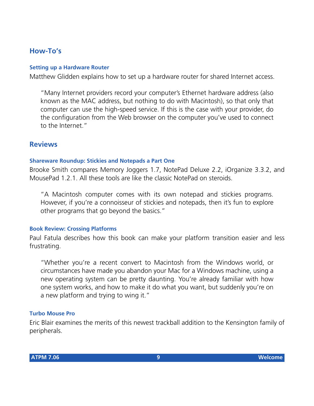#### **How-To's**

#### **Setting up a Hardware Router**

Matthew Glidden explains how to set up a hardware router for shared Internet access.

"Many Internet providers record your computer's Ethernet hardware address (also known as the MAC address, but nothing to do with Macintosh), so that only that computer can use the high-speed service. If this is the case with your provider, do the configuration from the Web browser on the computer you've used to connect to the Internet."

#### **Reviews**

#### **Shareware Roundup: Stickies and Notepads a Part One**

Brooke Smith compares Memory Joggers 1.7, NotePad Deluxe 2.2, iOrganize 3.3.2, and MousePad 1.2.1. All these tools are like the classic NotePad on steroids.

"A Macintosh computer comes with its own notepad and stickies programs. However, if you're a connoisseur of stickies and notepads, then it's fun to explore other programs that go beyond the basics."

#### **Book Review: Crossing Platforms**

Paul Fatula describes how this book can make your platform transition easier and less frustrating.

"Whether you're a recent convert to Macintosh from the Windows world, or circumstances have made you abandon your Mac for a Windows machine, using a new operating system can be pretty daunting. You're already familiar with how one system works, and how to make it do what you want, but suddenly you're on a new platform and trying to wing it."

#### **Turbo Mouse Pro**

Eric Blair examines the merits of this newest trackball addition to the Kensington family of peripherals.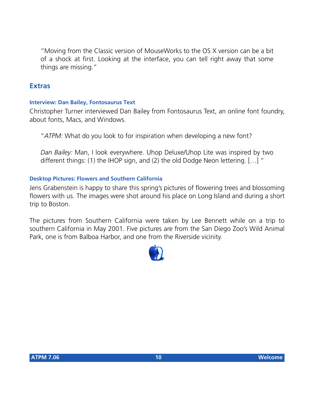"Moving from the Classic version of MouseWorks to the OS X version can be a bit of a shock at first. Looking at the interface, you can tell right away that some things are missing."

#### **Extras**

#### **Interview: Dan Bailey, Fontosaurus Text**

Christopher Turner interviewed Dan Bailey from Fontosaurus Text, an online font foundry, about fonts, Macs, and Windows.

"*ATPM:* What do you look to for inspiration when developing a new font?

*Dan Bailey:* Man, I look everywhere. Uhop Deluxe/Uhop Lite was inspired by two different things: (1) the IHOP sign, and (2) the old Dodge Neon lettering. […] "

#### **Desktop Pictures: Flowers and Southern California**

Jens Grabenstein is happy to share this spring's pictures of flowering trees and blossoming flowers with us. The images were shot around his place on Long Island and during a short trip to Boston.

The pictures from Southern California were taken by Lee Bennett while on a trip to southern California in May 2001. Five pictures are from the San Diego Zoo's Wild Animal Park, one is from Balboa Harbor, and one from the Riverside vicinity.

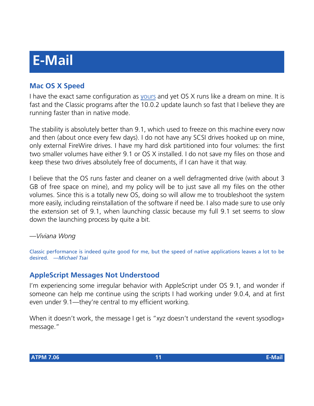# **E-Mail**

#### **Mac OS X Speed**

I have the exact same configuration as [yours](http://www.atpm.com/7.05/paradigm.shtml) and yet OS X runs like a dream on mine. It is fast and the Classic programs after the 10.0.2 update launch so fast that I believe they are running faster than in native mode.

The stability is absolutely better than 9.1, which used to freeze on this machine every now and then (about once every few days). I do not have any SCSI drives hooked up on mine, only external FireWire drives. I have my hard disk partitioned into four volumes: the first two smaller volumes have either 9.1 or OS X installed. I do not save my files on those and keep these two drives absolutely free of documents, if I can have it that way.

I believe that the OS runs faster and cleaner on a well defragmented drive (with about 3 GB of free space on mine), and my policy will be to just save all my files on the other volumes. Since this is a totally new OS, doing so will allow me to troubleshoot the system more easily, including reinstallation of the software if need be. I also made sure to use only the extension set of 9.1, when launching classic because my full 9.1 set seems to slow down the launching process by quite a bit.

*—Viviana Wong*

Classic performance is indeed quite good for me, but the speed of native applications leaves a lot to be desired. *—Michael Tsai*

#### **AppleScript Messages Not Understood**

I'm experiencing some irregular behavior with AppleScript under OS 9.1, and wonder if someone can help me continue using the scripts I had working under 9.0.4, and at first even under 9.1—they're central to my efficient working.

When it doesn't work, the message I get is "xyz doesn't understand the «event sysodlog» message."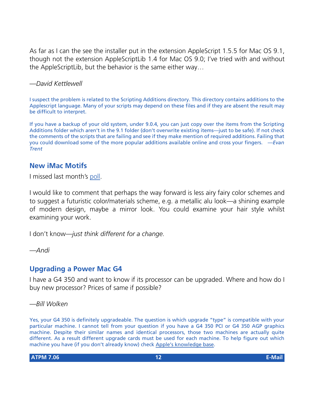As far as I can the see the installer put in the extension AppleScript 1.5.5 for Mac OS 9.1, though not the extension AppleScriptLib 1.4 for Mac OS 9.0; I've tried with and without the AppleScriptLib, but the behavior is the same either way…

*—David Kettlewell*

I suspect the problem is related to the Scripting Additions directory. This directory contains additions to the Applescript language. Many of your scripts may depend on these files and if they are absent the result may be difficult to interpret.

If you have a backup of your old system, under 9.0.4, you can just copy over the items from the Scripting Additions folder which aren't in the 9.1 folder (don't overwrite existing items—just to be safe). If not check the comments of the scripts that are failing and see if they make mention of required additions. Failing that you could download some of the more popular additions available online and cross your fingers. *—Evan Trent*

#### **New iMac Motifs**

I missed last month's [poll](http://www.atpm.com/polls/).

I would like to comment that perhaps the way forward is less airy fairy color schemes and to suggest a futuristic color/materials scheme, e.g. a metallic alu look—a shining example of modern design, maybe a mirror look. You could examine your hair style whilst examining your work.

I don't know—*just think different for a change*.

*—Andi*

#### **Upgrading a Power Mac G4**

I have a G4 350 and want to know if its processor can be upgraded. Where and how do I buy new processor? Prices of same if possible?

*—Bill Wolken*

Yes, your G4 350 is definitely upgradeable. The question is which upgrade "type" is compatible with your particular machine. I cannot tell from your question if you have a G4 350 PCI or G4 350 AGP graphics machine. Despite their similar names and identical processors, those two machines are actually quite different. As a result different upgrade cards must be used for each machine. To help figure out which machine you have (if you don't already know) check [Apple's knowledge base](http://kbase.info.apple.com/cgi-bin/WebObjects/kbase.woa/wo/3.25.17.5.0.0.1.8).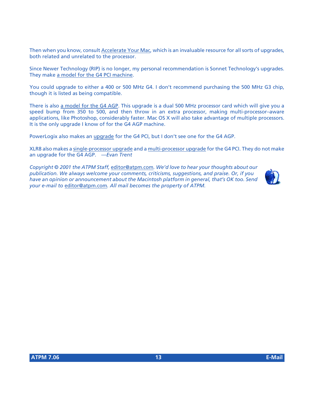Then when you know, consult [Accelerate Your Mac,](http://www.xlr8yourmac.com) which is an invaluable resource for all sorts of upgrades, both related and unrelated to the processor.

Since Newer Technology (RIP) is no longer, my personal recommendation is Sonnet Technology's upgrades. They make [a model for the G4 PCI machine.](http://www.sonnettech.com/product/encore.html)

You could upgrade to either a 400 or 500 MHz G4. I don't recommend purchasing the 500 MHz G3 chip, though it is listed as being compatible.

There is also [a model for the G4 AGP](http://www.sonnettech.com/product/encore_st.html). This upgrade is a dual 500 MHz processor card which will give you a speed bump from 350 to 500, and then throw in an extra processor, making multi-processor–aware applications, like Photoshop, considerably faster. Mac OS X will also take advantage of multiple processors. It is the only upgrade I know of for the G4 AGP machine.

PowerLogix also makes an [upgrade](http://www.powerlogix.com/products/powerforceZIFg4.html) for the G4 PCI, but I don't see one for the G4 AGP.

XLR8 also makes a [single-processor upgrade](http://www.xlr8.com/ProductInfo/machspeedg4zmpe/index.html) and a [multi-processor upgrade](http://www.xlr8.com/ProductInfo/MPUpgrades.html) for the G4 PCI. They do not make an upgrade for the G4 AGP. *—Evan Trent*

*Copyright © 2001 the ATPM Staff,* [editor@atpm.com](mailto:editor@atpm.com)*. We'd love to hear your thoughts about our publication. We always welcome your comments, criticisms, suggestions, and praise. Or, if you have an opinion or announcement about the Macintosh platform in general, that's OK too. Send your e-mail to* [editor@atpm.com](mailto:editor@atpm.com)*. All mail becomes the property of ATPM.*

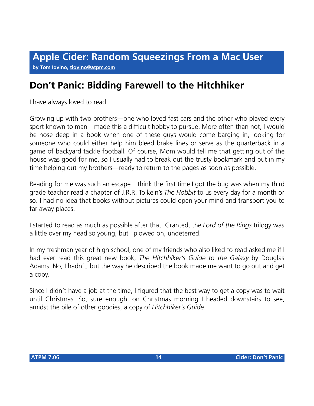## **Don't Panic: Bidding Farewell to the Hitchhiker**

I have always loved to read.

Growing up with two brothers—one who loved fast cars and the other who played every sport known to man—made this a difficult hobby to pursue. More often than not, I would be nose deep in a book when one of these guys would come barging in, looking for someone who could either help him bleed brake lines or serve as the quarterback in a game of backyard tackle football. Of course, Mom would tell me that getting out of the house was good for me, so I usually had to break out the trusty bookmark and put in my time helping out my brothers—ready to return to the pages as soon as possible.

Reading for me was such an escape. I think the first time I got the bug was when my third grade teacher read a chapter of J.R.R. Tolkein's *The Hobbit* to us every day for a month or so. I had no idea that books without pictures could open your mind and transport you to far away places.

I started to read as much as possible after that. Granted, the *Lord of the Rings* trilogy was a little over my head so young, but I plowed on, undeterred.

In my freshman year of high school, one of my friends who also liked to read asked me if I had ever read this great new book, *The Hitchhiker's Guide to the Galaxy* by Douglas Adams. No, I hadn't, but the way he described the book made me want to go out and get a copy.

Since I didn't have a job at the time, I figured that the best way to get a copy was to wait until Christmas. So, sure enough, on Christmas morning I headed downstairs to see, amidst the pile of other goodies, a copy of *Hitchhiker's Guide*.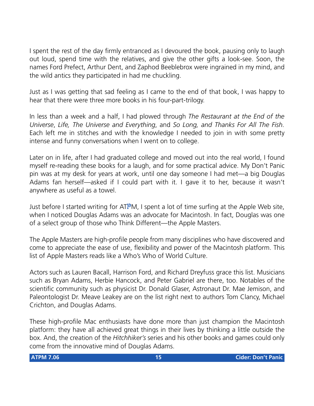I spent the rest of the day firmly entranced as I devoured the book, pausing only to laugh out loud, spend time with the relatives, and give the other gifts a look-see. Soon, the names Ford Prefect, Arthur Dent, and Zaphod Beeblebrox were ingrained in my mind, and the wild antics they participated in had me chuckling.

Just as I was getting that sad feeling as I came to the end of that book, I was happy to hear that there were three more books in his four-part-trilogy.

In less than a week and a half, I had plowed through *The Restaurant at the End of the Universe*, *Life, The Universe and Everything*, and *So Long, and Thanks For All The Fish*. Each left me in stitches and with the knowledge I needed to join in with some pretty intense and funny conversations when I went on to college.

Later on in life, after I had graduated college and moved out into the real world, I found myself re-reading these books for a laugh, and for some practical advice. My Don't Panic pin was at my desk for years at work, until one day someone I had met—a big Douglas Adams fan herself—asked if I could part with it. I gave it to her, because it wasn't anywhere as useful as a towel.

Just before I started writing for ATPM, I spent a lot of time surfing at the Apple Web site, when I noticed Douglas Adams was an advocate for Macintosh. In fact, Douglas was one of a select group of those who Think Different—the Apple Masters.

The Apple Masters are high-profile people from many disciplines who have discovered and come to appreciate the ease of use, flexibility and power of the Macintosh platform. This list of Apple Masters reads like a Who's Who of World Culture.

Actors such as Lauren Bacall, Harrison Ford, and Richard Dreyfuss grace this list. Musicians such as Bryan Adams, Herbie Hancock, and Peter Gabriel are there, too. Notables of the scientific community such as physicist Dr. Donald Glaser, Astronaut Dr. Mae Jemison, and Paleontologist Dr. Meave Leakey are on the list right next to authors Tom Clancy, Michael Crichton, and Douglas Adams.

These high-profile Mac enthusiasts have done more than just champion the Macintosh platform: they have all achieved great things in their lives by thinking a little outside the box. And, the creation of the *Hitchhiker's* series and his other books and games could only come from the innovative mind of Douglas Adams.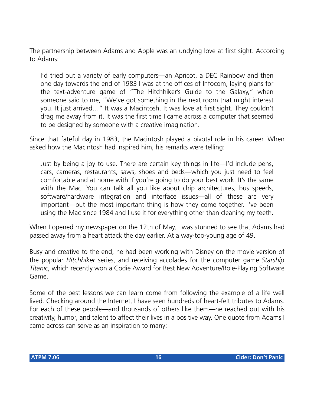The partnership between Adams and Apple was an undying love at first sight. According to Adams:

I'd tried out a variety of early computers—an Apricot, a DEC Rainbow and then one day towards the end of 1983 I was at the offices of Infocom, laying plans for the text-adventure game of "The Hitchhiker's Guide to the Galaxy," when someone said to me, "We've got something in the next room that might interest you. It just arrived…" It was a Macintosh. It was love at first sight. They couldn't drag me away from it. It was the first time I came across a computer that seemed to be designed by someone with a creative imagination.

Since that fateful day in 1983, the Macintosh played a pivotal role in his career. When asked how the Macintosh had inspired him, his remarks were telling:

Just by being a joy to use. There are certain key things in life—I'd include pens, cars, cameras, restaurants, saws, shoes and beds—which you just need to feel comfortable and at home with if you're going to do your best work. It's the same with the Mac. You can talk all you like about chip architectures, bus speeds, software/hardware integration and interface issues—all of these are very important—but the most important thing is how they come together. I've been using the Mac since 1984 and I use it for everything other than cleaning my teeth.

When I opened my newspaper on the 12th of May, I was stunned to see that Adams had passed away from a heart attack the day earlier. At a way-too-young age of 49.

Busy and creative to the end, he had been working with Disney on the movie version of the popular *Hitchhiker* series, and receiving accolades for the computer game *Starship Titanic*, which recently won a Codie Award for Best New Adventure/Role-Playing Software Game.

Some of the best lessons we can learn come from following the example of a life well lived. Checking around the Internet, I have seen hundreds of heart-felt tributes to Adams. For each of these people—and thousands of others like them—he reached out with his creativity, humor, and talent to affect their lives in a positive way. One quote from Adams I came across can serve as an inspiration to many: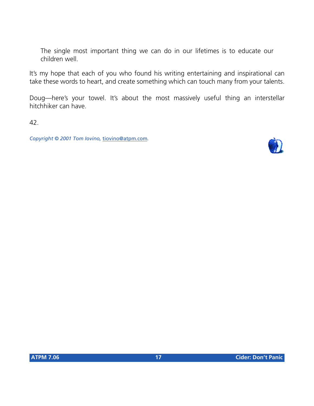The single most important thing we can do in our lifetimes is to educate our children well.

It's my hope that each of you who found his writing entertaining and inspirational can take these words to heart, and create something which can touch many from your talents.

Doug—here's your towel. It's about the most massively useful thing an interstellar hitchhiker can have.

42.

*Copyright © 2001 Tom Iovino,* [tiovino@atpm.com](mailto:tiovino@atpm.com)*.*

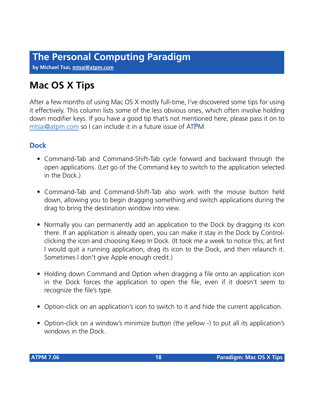**by Michael Tsai, [mtsai@atpm.com](mailto:mtsai@atpm.com)**

## **Mac OS X Tips**

After a few months of using Mac OS X mostly full-time, I've discovered some tips for using it effectively. This column lists some of the less obvious ones, which often involve holding down modifier keys. If you have a good tip that's not mentioned here, please pass it on to [mtsai@atpm.com](mailto:mtsai@atpm.com) so I can include it in a future issue of ATPM.

#### **Dock**

- Command-Tab and Command-Shift-Tab cycle forward and backward through the open applications. (Let go of the Command key to switch to the application selected in the Dock.)
- Command-Tab and Command-Shift-Tab also work with the mouse button held down, allowing you to begin dragging something and switch applications during the drag to bring the destination window into view.
- Normally you can permanently add an application to the Dock by dragging its icon there. If an application is already open, you can make it stay in the Dock by Controlclicking the icon and choosing Keep In Dock. (It took me a week to notice this; at first I would quit a running application, drag its icon to the Dock, and then relaunch it. Sometimes I don't give Apple enough credit.)
- Holding down Command and Option when dragging a file onto an application icon in the Dock forces the application to open the file, even if it doesn't seem to recognize the file's type.
- Option-click on an application's icon to switch to it and hide the current application.
- Option-click on a window's minimize button (the yellow -) to put all its application's windows in the Dock.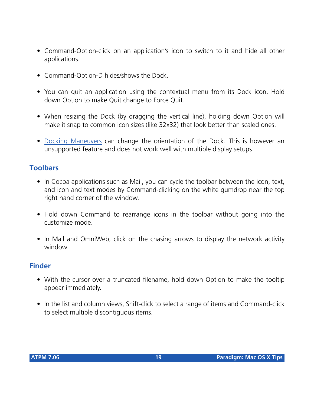- Command-Option-click on an application's icon to switch to it and hide all other applications.
- Command-Option-D hides/shows the Dock.
- You can quit an application using the contextual menu from its Dock icon. Hold down Option to make Quit change to Force Quit.
- When resizing the Dock (by dragging the vertical line), holding down Option will make it snap to common icon sizes (like 32x32) that look better than scaled ones.
- [Docking Maneuvers](http://homepage.mac.com/isleep/) can change the orientation of the Dock. This is however an unsupported feature and does not work well with multiple display setups.

#### **Toolbars**

- In Cocoa applications such as Mail, you can cycle the toolbar between the icon, text, and icon and text modes by Command-clicking on the white gumdrop near the top right hand corner of the window.
- Hold down Command to rearrange icons in the toolbar without going into the customize mode.
- In Mail and OmniWeb, click on the chasing arrows to display the network activity window.

#### **Finder**

- With the cursor over a truncated filename, hold down Option to make the tooltip appear immediately.
- In the list and column views, Shift-click to select a range of items and Command-click to select multiple discontiguous items.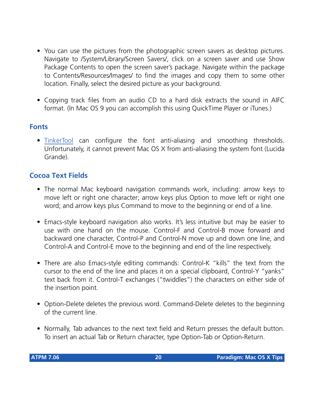- You can use the pictures from the photographic screen savers as desktop pictures. Navigate to /System/Library/Screen Savers/, click on a screen saver and use Show Package Contents to open the screen saver's package. Navigate within the package to Contents/Resources/Images/ to find the images and copy them to some other location. Finally, select the desired picture as your background.
- Copying track files from an audio CD to a hard disk extracts the sound in AIFC format. (In Mac OS 9 you can accomplish this using QuickTime Player or iTunes.)

#### **Fonts**

• [TinkerTool](http://www.bresink.de/osx/TinkerTool.html) can configure the font anti-aliasing and smoothing thresholds. Unfortunately, it cannot prevent Mac OS X from anti-aliasing the system font (Lucida Grande).

#### **Cocoa Text Fields**

- The normal Mac keyboard navigation commands work, including: arrow keys to move left or right one character; arrow keys plus Option to move left or right one word; and arrow keys plus Command to move to the beginning or end of a line.
- Emacs-style keyboard navigation also works. It's less intuitive but may be easier to use with one hand on the mouse. Control-F and Control-B move forward and backward one character, Control-P and Control-N move up and down one line, and Control-A and Control-E move to the beginning and end of the line respectively.
- There are also Emacs-style editing commands: Control-K "kills" the text from the cursor to the end of the line and places it on a special clipboard, Control-Y "yanks" text back from it. Control-T exchanges ("twiddles") the characters on either side of the insertion point.
- Option-Delete deletes the previous word. Command-Delete deletes to the beginning of the current line.
- Normally, Tab advances to the next text field and Return presses the default button. To insert an actual Tab or Return character, type Option-Tab or Option-Return.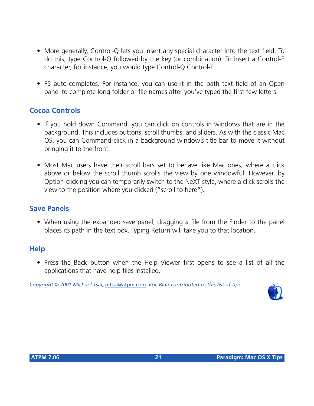- More generally, Control-Q lets you insert any special character into the text field. To do this, type Control-Q followed by the key (or combination). To insert a Control-E character, for instance, you would type Control-Q Control-E.
- F5 auto-completes. For instance, you can use it in the path text field of an Open panel to complete long folder or file names after you've typed the first few letters.

#### **Cocoa Controls**

- If you hold down Command, you can click on controls in windows that are in the background. This includes buttons, scroll thumbs, and sliders. As with the classic Mac OS, you can Command-click in a background window's title bar to move it without bringing it to the front.
- Most Mac users have their scroll bars set to behave like Mac ones, where a click above or below the scroll thumb scrolls the view by one windowful. However, by Option-clicking you can temporarily switch to the NeXT style, where a click scrolls the view to the position where you clicked ("scroll to here").

#### **Save Panels**

• When using the expanded save panel, dragging a file from the Finder to the panel places its path in the text box. Typing Return will take you to that location.

#### **Help**

• Press the Back button when the Help Viewer first opens to see a list of all the applications that have help files installed.

*Copyright © 2001 Michael Tsai,* [mtsai@atpm.com](mailto:mtsai@atpm.com)*. Eric Blair contributed to this list of tips.*

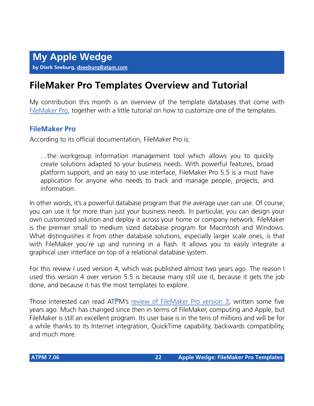## **FileMaker Pro Templates Overview and Tutorial**

My contribution this month is an overview of the template databases that come with [FileMaker Pro](http://www.filemaker.com/), together with a little tutorial on how to customize one of the templates.

#### **FileMaker Pro**

According to its official documentation, FileMaker Pro is:

…the workgroup information management tool which allows you to quickly create solutions adapted to your business needs. With powerful features, broad platform support, and an easy to use interface, FileMaker Pro 5.5 is a must have application for anyone who needs to track and manage people, projects, and information.

In other words, it's a powerful database program that the average user can use. Of course, you can use it for more than just your business needs. In particular, you can design your own customized solution and deploy it across your home or company network. FileMaker is the premier small to medium sized database program for Macintosh and Windows. What distinguishes it from other database solutions, especially larger scale ones, is that with FileMaker you're up and running in a flash. It allows you to easily integrate a graphical user interface on top of a relational database system.

For this review I used version 4, which was published almost two years ago. The reason I used this version 4 over version 5.5 is because many still use it, because it gets the job done, and because it has the most templates to explore.

Those interested can read ATPM's [review of FileMaker Pro version 3,](http://www.atpm.com/Back/downloads/ATPM2.04.sit.bin) written some five years ago. Much has changed since then in terms of FileMaker, computing and Apple, but FileMaker is still an excellent program. Its user base is in the tens of millions and will be for a while thanks to its Internet integration, QuickTime capability, backwards compatibility, and much more.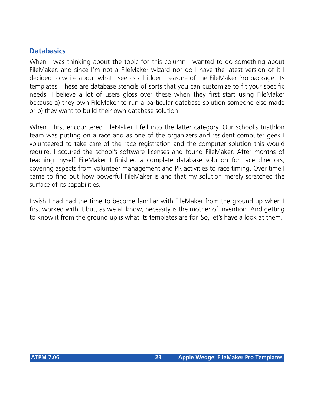#### **Databasics**

When I was thinking about the topic for this column I wanted to do something about FileMaker, and since I'm not a FileMaker wizard nor do I have the latest version of it I decided to write about what I see as a hidden treasure of the FileMaker Pro package: its templates. These are database stencils of sorts that you can customize to fit your specific needs. I believe a lot of users gloss over these when they first start using FileMaker because a) they own FileMaker to run a particular database solution someone else made or b) they want to build their own database solution.

When I first encountered FileMaker I fell into the latter category. Our school's triathlon team was putting on a race and as one of the organizers and resident computer geek I volunteered to take care of the race registration and the computer solution this would require. I scoured the school's software licenses and found FileMaker. After months of teaching myself FileMaker I finished a complete database solution for race directors, covering aspects from volunteer management and PR activities to race timing. Over time I came to find out how powerful FileMaker is and that my solution merely scratched the surface of its capabilities.

I wish I had had the time to become familiar with FileMaker from the ground up when I first worked with it but, as we all know, necessity is the mother of invention. And getting to know it from the ground up is what its templates are for. So, let's have a look at them.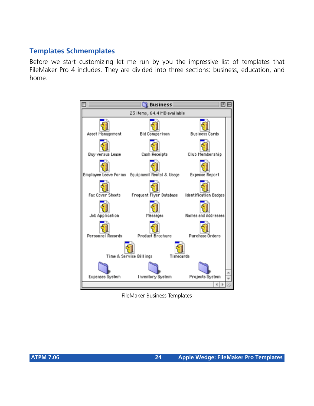#### **Templates Schmemplates**

Before we start customizing let me run by you the impressive list of templates that FileMaker Pro 4 includes. They are divided into three sections: business, education, and home.



FileMaker Business Templates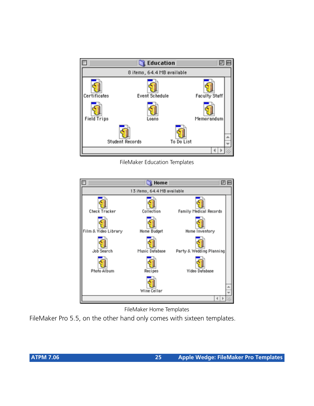

FileMaker Education Templates



FileMaker Home Templates

FileMaker Pro 5.5, on the other hand only comes with sixteen templates.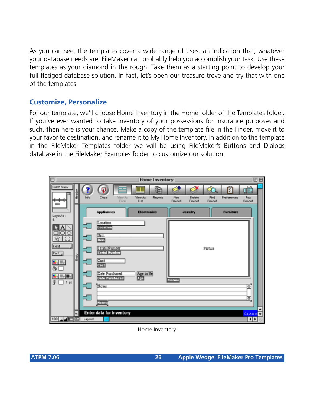As you can see, the templates cover a wide range of uses, an indication that, whatever your database needs are, FileMaker can probably help you accomplish your task. Use these templates as your diamond in the rough. Take them as a starting point to develop your full-fledged database solution. In fact, let's open our treasure trove and try that with one of the templates.

#### **Customize, Personalize**

For our template, we'll choose Home Inventory in the Home folder of the Templates folder. If you've ever wanted to take inventory of your possessions for insurance purposes and such, then here is your chance. Make a copy of the template file in the Finder, move it to your favorite destination, and rename it to My Home Inventory. In addition to the template in the FileMaker Templates folder we will be using FileMaker's Buttons and Dialogs database in the FileMaker Examples folder to customize our solution.



Home Inventory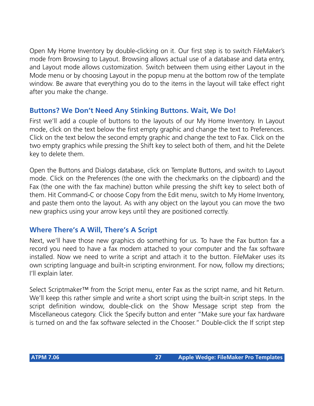Open My Home Inventory by double-clicking on it. Our first step is to switch FileMaker's mode from Browsing to Layout. Browsing allows actual use of a database and data entry, and Layout mode allows customization. Switch between them using either Layout in the Mode menu or by choosing Layout in the popup menu at the bottom row of the template window. Be aware that everything you do to the items in the layout will take effect right after you make the change.

#### **Buttons? We Don't Need Any Stinking Buttons. Wait, We Do!**

First we'll add a couple of buttons to the layouts of our My Home Inventory. In Layout mode, click on the text below the first empty graphic and change the text to Preferences. Click on the text below the second empty graphic and change the text to Fax. Click on the two empty graphics while pressing the Shift key to select both of them, and hit the Delete key to delete them.

Open the Buttons and Dialogs database, click on Template Buttons, and switch to Layout mode. Click on the Preferences (the one with the checkmarks on the clipboard) and the Fax (the one with the fax machine) button while pressing the shift key to select both of them. Hit Command-C or choose Copy from the Edit menu, switch to My Home Inventory, and paste them onto the layout. As with any object on the layout you can move the two new graphics using your arrow keys until they are positioned correctly.

#### **Where There's A Will, There's A Script**

Next, we'll have those new graphics do something for us. To have the Fax button fax a record you need to have a fax modem attached to your computer and the fax software installed. Now we need to write a script and attach it to the button. FileMaker uses its own scripting language and built-in scripting environment. For now, follow my directions; I'll explain later.

Select Scriptmaker<sup>™</sup> from the Script menu, enter Fax as the script name, and hit Return. We'll keep this rather simple and write a short script using the built-in script steps. In the script definition window, double-click on the Show Message script step from the Miscellaneous category. Click the Specify button and enter "Make sure your fax hardware is turned on and the fax software selected in the Chooser." Double-click the If script step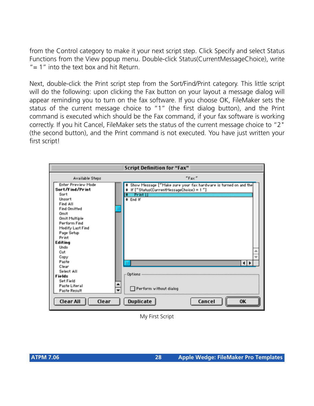from the Control category to make it your next script step. Click Specify and select Status Functions from the View popup menu. Double-click Status(CurrentMessageChoice), write " $= 1$ " into the text box and hit Return.

Next, double-click the Print script step from the Sort/Find/Print category. This little script will do the following: upon clicking the Fax button on your layout a message dialog will appear reminding you to turn on the fax software. If you choose OK, FileMaker sets the status of the current message choice to "1" (the first dialog button), and the Print command is executed which should be the Fax command, if your fax software is working correctly. If you hit Cancel, FileMaker sets the status of the current message choice to "2" (the second button), and the Print command is not executed. You have just written your first script!



My First Script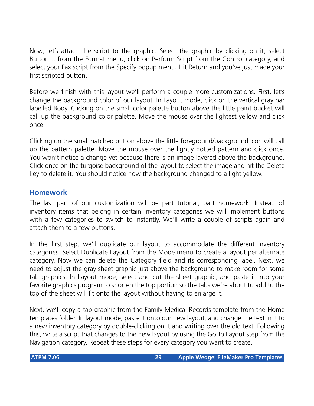Now, let's attach the script to the graphic. Select the graphic by clicking on it, select Button… from the Format menu, click on Perform Script from the Control category, and select your Fax script from the Specify popup menu. Hit Return and you've just made your first scripted button.

Before we finish with this layout we'll perform a couple more customizations. First, let's change the background color of our layout. In Layout mode, click on the vertical gray bar labelled Body. Clicking on the small color palette button above the little paint bucket will call up the background color palette. Move the mouse over the lightest yellow and click once.

Clicking on the small hatched button above the little foreground/background icon will call up the pattern palette. Move the mouse over the lightly dotted pattern and click once. You won't notice a change yet because there is an image layered above the background. Click once on the turqoise background of the layout to select the image and hit the Delete key to delete it. You should notice how the background changed to a light yellow.

#### **Homework**

The last part of our customization will be part tutorial, part homework. Instead of inventory items that belong in certain inventory categories we will implement buttons with a few categories to switch to instantly. We'll write a couple of scripts again and attach them to a few buttons.

In the first step, we'll duplicate our layout to accommodate the different inventory categories. Select Duplicate Layout from the Mode menu to create a layout per alternate category. Now we can delete the Category field and its corresponding label. Next, we need to adjust the gray sheet graphic just above the background to make room for some tab graphics. In Layout mode, select and cut the sheet graphic, and paste it into your favorite graphics program to shorten the top portion so the tabs we're about to add to the top of the sheet will fit onto the layout without having to enlarge it.

Next, we'll copy a tab graphic from the Family Medical Records template from the Home templates folder. In layout mode, paste it onto our new layout, and change the text in it to a new inventory category by double-clicking on it and writing over the old text. Following this, write a script that changes to the new layout by using the Go To Layout step from the Navigation category. Repeat these steps for every category you want to create.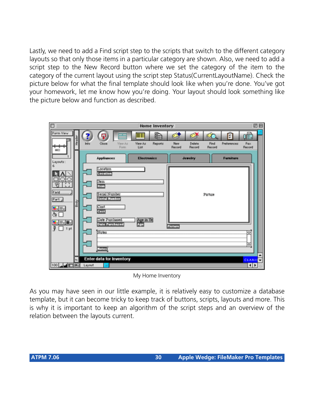Lastly, we need to add a Find script step to the scripts that switch to the different category layouts so that only those items in a particular category are shown. Also, we need to add a script step to the New Record button where we set the category of the item to the category of the current layout using the script step Status(CurrentLayoutName). Check the picture below for what the final template should look like when you're done. You've got your homework, let me know how you're doing. Your layout should look something like the picture below and function as described.



My Home Inventory

As you may have seen in our little example, it is relatively easy to customize a database template, but it can become tricky to keep track of buttons, scripts, layouts and more. This is why it is important to keep an algorithm of the script steps and an overview of the relation between the layouts current.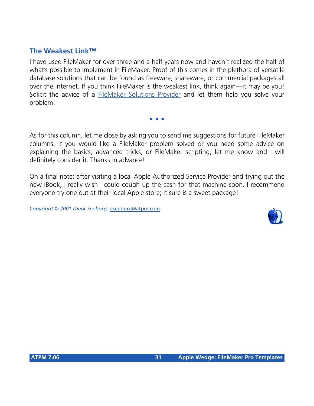#### **The Weakest Link™**

I have used FileMaker for over three and a half years now and haven't realized the half of what's possible to implement in FileMaker. Proof of this comes in the plethora of versatile database solutions that can be found as freeware, shareware, or commercial packages all over the Internet. If you think FileMaker is the weakest link, think again—it may be you! Solicit the advice of a [FileMaker Solutions Provider](http://filemaker.com/solutions/find_consultants2.html) and let them help you solve your problem.

As for this column, let me close by asking you to send me suggestions for future FileMaker columns. If you would like a FileMaker problem solved or you need some advice on explaining the basics, advanced tricks, or FileMaker scripting, let me know and I will definitely consider it. Thanks in advance!

**• • •**

On a final note: after visiting a local Apple Authorized Service Provider and trying out the new iBook, I really wish I could cough up the cash for that machine soon. I recommend everyone try one out at their local Apple store; it sure is a sweet package!

*Copyright © 2001 Dierk Seeburg,* [dseeburg@atpm.com](mailto:dseeburg@atpm.com)*.*

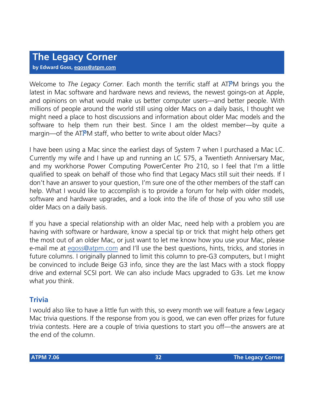**by Edward Goss, [egoss@atpm.com](mailto:egoss@atpm.com)**

Welcome to *The Legacy Corner*. Each month the terrific staff at ATPM brings you the latest in Mac software and hardware news and reviews, the newest goings-on at Apple, and opinions on what would make us better computer users—and better people. With millions of people around the world still using older Macs on a daily basis, I thought we might need a place to host discussions and information about older Mac models and the software to help them run their best. Since I am the oldest member—by quite a margin—of the ATPM staff, who better to write about older Macs?

I have been using a Mac since the earliest days of System 7 when I purchased a Mac LC. Currently my wife and I have up and running an LC 575, a Twentieth Anniversary Mac, and my workhorse Power Computing PowerCenter Pro 210, so I feel that I'm a little qualified to speak on behalf of those who find that Legacy Macs still suit their needs. If I don't have an answer to your question, I'm sure one of the other members of the staff can help. What I would like to accomplish is to provide a forum for help with older models, software and hardware upgrades, and a look into the life of those of you who still use older Macs on a daily basis.

If you have a special relationship with an older Mac, need help with a problem you are having with software or hardware, know a special tip or trick that might help others get the most out of an older Mac, or just want to let me know how you use your Mac, please e-mail me at [egoss@atpm.com](mailto:egoss@atpm.com) and I'll use the best questions, hints, tricks, and stories in future columns. I originally planned to limit this column to pre-G3 computers, but I might be convinced to include Beige G3 info, since they are the last Macs with a stock floppy drive and external SCSI port. We can also include Macs upgraded to G3s. Let me know what *you* think.

#### **Trivia**

I would also like to have a little fun with this, so every month we will feature a few Legacy Mac trivia questions. If the response from you is good, we can even offer prizes for future trivia contests. Here are a couple of trivia questions to start you off—the answers are at the end of the column.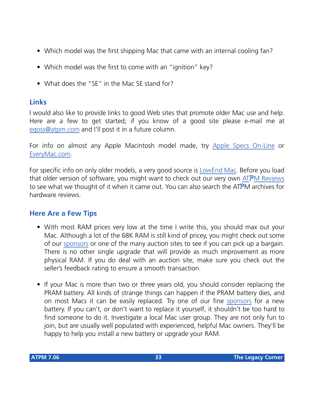- Which model was the first shipping Mac that came with an internal cooling fan?
- Which model was the first to come with an "ignition" key?
- What does the "SE" in the Mac SE stand for?

#### **Links**

I would also like to provide links to good Web sites that promote older Mac use and help. Here are a few to get started; if you know of a good site please e-mail me at [egoss@atpm.com](mailto:egoss@atpm.com) and I'll post it in a future column.

For info on almost any Apple Macintosh model made, try [Apple Specs On-Line](http://www.info.apple.com/applespec/applespec.taf) or [EveryMac.com.](http://www.everymac.com/)

For specific info on only older models, a very good source is [LowEnd Mac](http://www.lowendmac.com/). Before you load that older version of software, you might want to check out our very own [AT](http://www.atpm.com/reviews/byname.shtml)PM Reviews to see what we thought of it when it came out. You can also search the ATPM archives for hardware reviews.

#### **Here Are a Few Tips**

- With most RAM prices very low at the time I write this, you should max out your Mac. Although a lot of the 68K RAM is still kind of pricey, you might check out some of our [sponsors](http://www.atpm.com/7.06/sponsors.shtml) or one of the many auction sites to see if you can pick up a bargain. There is no other single upgrade that will provide as much improvement as more physical RAM. If you do deal with an auction site, make sure you check out the seller's feedback rating to ensure a smooth transaction.
- If your Mac is more than two or three years old, you should consider replacing the PRAM battery. All kinds of strange things can happen if the PRAM battery dies, and on most Macs it can be easily replaced. Try one of our fine [sponsors](http://www.atpm.com/7.06/sponsors.shtml) for a new battery. If you can't, or don't want to replace it yourself, it shouldn't be too hard to find someone to do it. Investigate a local Mac user group. They are not only fun to join, but are usually well populated with experienced, helpful Mac owners. They'll be happy to help you install a new battery or upgrade your RAM.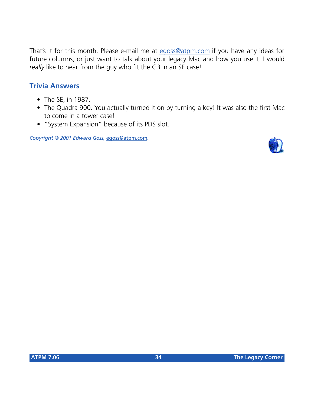That's it for this month. Please e-mail me at [egoss@atpm.com](mailto:egoss@atpm.com) if you have any ideas for future columns, or just want to talk about your legacy Mac and how you use it. I would *really* like to hear from the guy who fit the G3 in an SE case!

#### **Trivia Answers**

- The SE, in 1987.
- The Quadra 900. You actually turned it on by turning a key! It was also the first Mac to come in a tower case!
- "System Expansion" because of its PDS slot.

*Copyright © 2001 Edward Goss,* [egoss@atpm.com](mailto:egoss@atpm.com)*.*

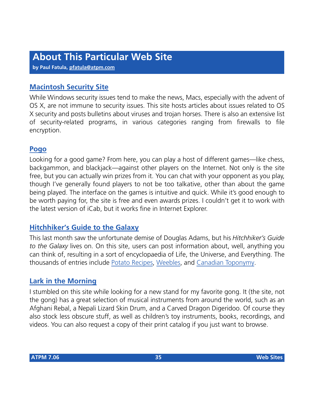**by Paul Fatula, [pfatula@atpm.com](mailto:pfatula@atpm.com)**

#### **[Macintosh Security Site](http://www.securemac.com)**

While Windows security issues tend to make the news, Macs, especially with the advent of OS X, are not immune to security issues. This site hosts articles about issues related to OS X security and posts bulletins about viruses and trojan horses. There is also an extensive list of security-related programs, in various categories ranging from firewalls to file encryption.

#### **[Pogo](http://www.pogo.com)**

Looking for a good game? From here, you can play a host of different games—like chess, backgammon, and blackjack—against other players on the Internet. Not only is the site free, but you can actually win prizes from it. You can chat with your opponent as you play, though I've generally found players to not be too talkative, other than about the game being played. The interface on the games is intuitive and quick. While it's good enough to be worth paying for, the site is free and even awards prizes. I couldn't get it to work with the latest version of iCab, but it works fine in Internet Explorer.

#### **[Hitchhiker's Guide to the Galaxy](http://www.h2g2.com)**

This last month saw the unfortunate demise of Douglas Adams, but his *Hitchhiker's Guide to the Galaxy* lives on. On this site, users can post information about, well, anything you can think of, resulting in a sort of encyclopaedia of Life, the Universe, and Everything. The thousands of entries include [Potato Recipes,](http://www.bbc.co.uk/h2g2/guide/A533422) [Weebles,](http://www.bbc.co.uk/h2g2/guide/A292051) and [Canadian Toponymy.](http://www.bbc.co.uk/h2g2/guide/A545177)

#### **[Lark in the Morning](http://www.larkinthemorning.com)**

I stumbled on this site while looking for a new stand for my favorite gong. It (the site, not the gong) has a great selection of musical instruments from around the world, such as an Afghani Rebal, a Nepali Lizard Skin Drum, and a Carved Dragon Digeridoo. Of course they also stock less obscure stuff, as well as children's toy instruments, books, recordings, and videos. You can also request a copy of their print catalog if you just want to browse.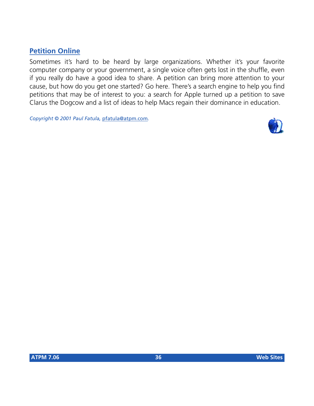#### **[Petition Online](http://www.petitiononline.com)**

Sometimes it's hard to be heard by large organizations. Whether it's your favorite computer company or your government, a single voice often gets lost in the shuffle, even if you really do have a good idea to share. A petition can bring more attention to your cause, but how do you get one started? Go here. There's a search engine to help you find petitions that may be of interest to you: a search for Apple turned up a petition to save Clarus the Dogcow and a list of ideas to help Macs regain their dominance in education.

*Copyright © 2001 Paul Fatula,* [pfatula@atpm.com](mailto:pfatula@atpm.com)*.*

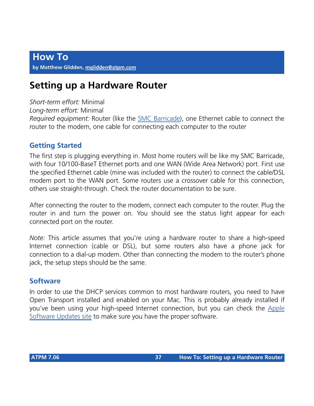## **Setting up a Hardware Router**

*Short-term effort:* Minimal

*Long-term effort:* Minimal

*Required equipment:* Router (like the [SMC Barricade\)](http://www.smc.com/), one Ethernet cable to connect the router to the modem, one cable for connecting each computer to the router

## **Getting Started**

The first step is plugging everything in. Most home routers will be like my SMC Barricade, with four 10/100-BaseT Ethernet ports and one WAN (Wide Area Network) port. First use the specified Ethernet cable (mine was included with the router) to connect the cable/DSL modem port to the WAN port. Some routers use a crossover cable for this connection, others use straight-through. Check the router documentation to be sure.

After connecting the router to the modem, connect each computer to the router. Plug the router in and turn the power on. You should see the status light appear for each connected port on the router.

*Note:* This article assumes that you're using a hardware router to share a high-speed Internet connection (cable or DSL), but some routers also have a phone jack for connection to a dial-up modem. Other than connecting the modem to the router's phone jack, the setup steps should be the same.

### **Software**

In order to use the DHCP services common to most hardware routers, you need to have Open Transport installed and enabled on your Mac. This is probably already installed if you've been using your high-speed Internet connection, but you can check the [Apple](http://asu.info.apple.com/) [Software Updates site](http://asu.info.apple.com/) to make sure you have the proper software.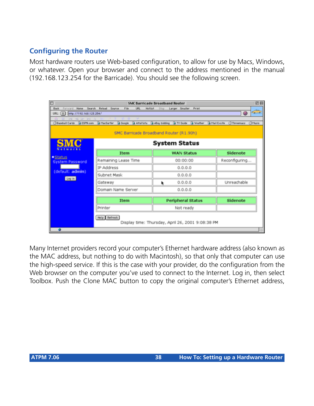## **Configuring the Router**

Most hardware routers use Web-based configuration, to allow for use by Macs, Windows, or whatever. Open your browser and connect to the address mentioned in the manual (192.168.123.254 for the Barricade). You should see the following screen.

|                                                                                  |                                |                                                   | <b>SMC Barricade Broadband Router</b> |                           |         |                      |                     | 回目                            |
|----------------------------------------------------------------------------------|--------------------------------|---------------------------------------------------|---------------------------------------|---------------------------|---------|----------------------|---------------------|-------------------------------|
| <b>Home</b><br>Search<br>Back<br>Forward                                         | Reload<br>Source               | File<br>URL                                       | <b>Hotligt</b>                        | Stop Larger Smaller Print |         |                      |                     |                               |
| URL: $\left[\begin{array}{cc} 1 \\ 7 \end{array}\right]$ http://192.168.123.254/ |                                |                                                   |                                       |                           |         |                      | 0                   | $\sigma_{\sigma} \rightarrow$ |
| the two per and<br>60<br><b>Ciliaseball Cards</b>                                | SESPN.com S MacSurfer & Google |                                                   | Altalists Bellay bidding B TV Ouide   |                           | Weather | <b>B</b> Mail Excite | <b>CI Threemass</b> | <b>C</b> Masie                |
|                                                                                  |                                |                                                   |                                       |                           |         |                      |                     |                               |
|                                                                                  |                                | SMC Barricade Broadband Router (R1.90h)           |                                       |                           |         |                      |                     |                               |
| ${\bf SMC}$                                                                      |                                |                                                   | <b>System Status</b>                  |                           |         |                      |                     |                               |
| Notworks                                                                         |                                | Item                                              |                                       | <b>WAN Status</b>         |         |                      | Sidenote            |                               |
| ·Status<br><b>System Password</b>                                                | Remaining Lease Time           |                                                   |                                       | 00:00:00                  |         |                      | Reconfiguring       |                               |
| (default: admin)                                                                 | IP Address                     |                                                   |                                       | 0.0.0.0                   |         |                      |                     |                               |
| Log in                                                                           | Subnet Mask                    |                                                   |                                       | 0.0.0.0                   |         |                      |                     |                               |
|                                                                                  | Gateway                        |                                                   | r                                     | 0.0.0.0                   |         |                      | Unreachable         |                               |
|                                                                                  | Domain Name Server             |                                                   |                                       | 0.0.0.0                   |         |                      |                     |                               |
|                                                                                  |                                | Item                                              |                                       | <b>Peripheral Status</b>  |         |                      | Sidenote            |                               |
|                                                                                  | Printer                        |                                                   |                                       | Not ready                 |         |                      |                     |                               |
|                                                                                  | Help Refresh                   | Display time: Thursday, April 26, 2001 9:08:38 PM |                                       |                           |         |                      |                     |                               |
|                                                                                  |                                |                                                   |                                       |                           |         |                      |                     |                               |

Many Internet providers record your computer's Ethernet hardware address (also known as the MAC address, but nothing to do with Macintosh), so that only that computer can use the high-speed service. If this is the case with your provider, do the configuration from the Web browser on the computer you've used to connect to the Internet. Log in, then select Toolbox. Push the Clone MAC button to copy the original computer's Ethernet address,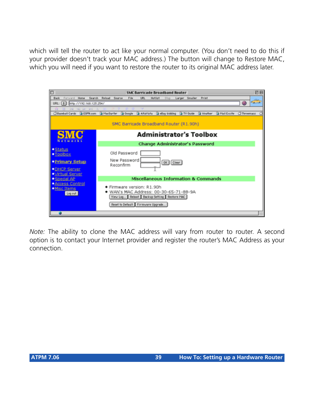which will tell the router to act like your normal computer. (You don't need to do this if your provider doesn't track your MAC address.) The button will change to Restore MAC, which you will need if you want to restore the router to its original MAC address later.



*Note:* The ability to clone the MAC address will vary from router to router. A second option is to contact your Internet provider and register the router's MAC Address as your connection.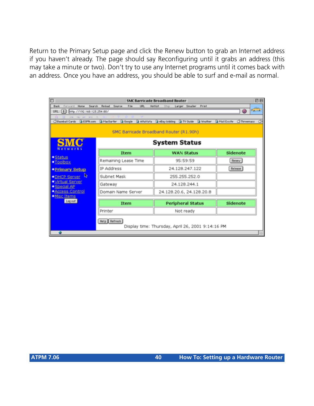Return to the Primary Setup page and click the Renew button to grab an Internet address if you haven't already. The page should say Reconfiguring until it grabs an address (this may take a minute or two). Don't try to use any Internet programs until it comes back with an address. Once you have an address, you should be able to surf and e-mail as normal.

|                                               |                                           | <b>SMC Barricade Broadband Router</b>              | 凹目                                               |
|-----------------------------------------------|-------------------------------------------|----------------------------------------------------|--------------------------------------------------|
| <b>Back</b><br>Forward Home                   | Search Reload<br>Source<br>File<br>URL    | Larger Smaller Print<br><b>Hollist</b><br>S700     |                                                  |
| URL:   0     http://192.160.123.254.90/       |                                           |                                                    | $\sigma_{\rm eff, max}$<br>Θ                     |
| the coll car and<br>Baseball Cards & ESPN.com | <b>BirtacSurfer B</b> Google<br>AltaVista | <b>B</b> eBay bidding <b>B</b> TV Ouide<br>Weather | <b>B</b> Mail Excite<br><b>CIThreemass</b><br>C) |
|                                               |                                           |                                                    |                                                  |
|                                               |                                           | SMC Barricade Broadband Router (R1.90h)            |                                                  |
| <b>SMC</b>                                    |                                           | <b>System Status</b>                               |                                                  |
| Networks                                      |                                           |                                                    |                                                  |
|                                               | Item                                      | <b>WAN Status</b>                                  | Sidenote                                         |
| <b>*Status</b><br>$\underline{\text{Tools}}$  | Remaining Lease Time                      | 95:59:59                                           | Renew                                            |
| <b>•Primary Setup</b>                         | IP Address                                | 24.128.247.122                                     | <b>Release</b>                                   |
| R<br>· DHCP Server                            | Subnet Mask                               | 255.255.252.0                                      |                                                  |
| <b>*Mrtual Server</b><br>· Special AP         | Gateway                                   | 24.128.244.1                                       |                                                  |
| <b>*Access Control</b>                        | Domain Name Server                        | 24.128.20.6, 24.128.20.8                           |                                                  |
| · Misc Items<br>Log out                       |                                           |                                                    |                                                  |
|                                               | Item                                      | <b>Peripheral Status</b>                           | Sidenote                                         |
|                                               | Printer                                   | Not ready                                          |                                                  |
|                                               | Help Refresh                              |                                                    |                                                  |
|                                               |                                           | Display time: Thursday, April 26, 2001 9:14:16 PM  |                                                  |
| ٠                                             |                                           |                                                    |                                                  |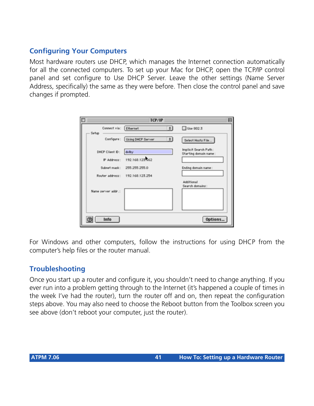## **Configuring Your Computers**

Most hardware routers use DHCP, which manages the Internet connection automatically for all the connected computers. To set up your Mac for DHCP, open the TCP/IP control panel and set configure to Use DHCP Server. Leave the other settings (Name Server Address, specifically) the same as they were before. Then close the control panel and save changes if prompted.

| D                               | TCP/IP                                              |                                                |
|---------------------------------|-----------------------------------------------------|------------------------------------------------|
| Connect via: Ethernet<br>Setup. | $\frac{1}{2}$                                       | □ Use 802.3                                    |
|                                 | Configure: Using DHCP Server<br>$\vert \cdot \vert$ | Select Hosts File                              |
| DHCP Client ID:                 | dolby                                               | Implicit Search Path:<br>Starting domain name: |
| IP Address:                     | 192.168.123.62                                      |                                                |
| Subnet mask:                    | 255 255 255.0                                       | Ending domain name:                            |
| Router address:                 | 192.168.123.254                                     |                                                |
|                                 |                                                     | Additional<br>Search domains:                  |
| Name perver addr.:              |                                                     |                                                |
|                                 |                                                     |                                                |
|                                 |                                                     |                                                |
| Info                            |                                                     | Options                                        |

For Windows and other computers, follow the instructions for using DHCP from the computer's help files or the router manual.

### **Troubleshooting**

Once you start up a router and configure it, you shouldn't need to change anything. If you ever run into a problem getting through to the Internet (it's happened a couple of times in the week I've had the router), turn the router off and on, then repeat the configuration steps above. You may also need to choose the Reboot button from the Toolbox screen you see above (don't reboot your computer, just the router).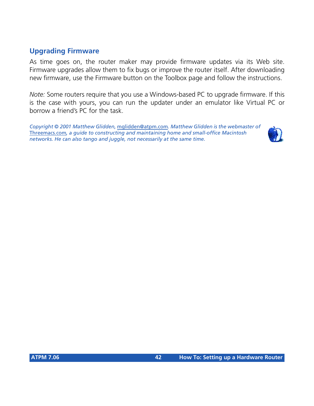## **Upgrading Firmware**

As time goes on, the router maker may provide firmware updates via its Web site. Firmware upgrades allow them to fix bugs or improve the router itself. After downloading new firmware, use the Firmware button on the Toolbox page and follow the instructions.

*Note:* Some routers require that you use a Windows-based PC to upgrade firmware. If this is the case with yours, you can run the updater under an emulator like Virtual PC or borrow a friend's PC for the task.

*Copyright © 2001 Matthew Glidden,* [mglidden@atpm.com](mailto:mglidden@atpm.com)*. Matthew Glidden is the webmaster of*  [Threemacs.com](http://www.threemacs.com)*, a guide to constructing and maintaining home and small-office Macintosh networks. He can also tango and juggle, not necessarily at the same time.*

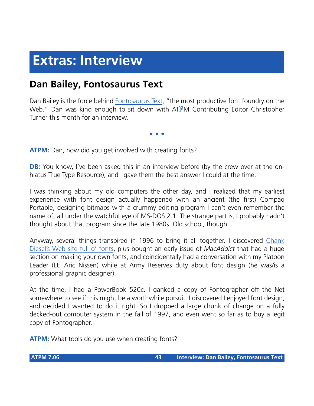# **Extras: Interview**

## **Dan Bailey, Fontosaurus Text**

Dan Bailey is the force behind [Fontosaurus Text,](http://www.fontosaurus.com) "the most productive font foundry on the Web." Dan was kind enough to sit down with ATPM Contributing Editor Christopher Turner this month for an interview.

**• • •**

**ATPM:** Dan, how did you get involved with creating fonts?

**DB:** You know, I've been asked this in an interview before (by the crew over at the onhiatus True Type Resource), and I gave them the best answer I could at the time.

I was thinking about my old computers the other day, and I realized that my earliest experience with font design actually happened with an ancient (the first) Compaq Portable, designing bitmaps with a crummy editing program I can't even remember the name of, all under the watchful eye of MS-DOS 2.1. The strange part is, I probably hadn't thought about that program since the late 1980s. Old school, though.

Anyway, several things transpired in 1996 to bring it all together. I discovered [Chank](http://www.chank.com) [Diesel's Web site full o' fonts](http://www.chank.com), plus bought an early issue of *MacAddict* that had a huge section on making your own fonts, and coincidentally had a conversation with my Platoon Leader (Lt. Aric Nissen) while at Army Reserves duty about font design (he was/is a professional graphic designer).

At the time, I had a PowerBook 520c. I ganked a copy of Fontographer off the Net somewhere to see if this might be a worthwhile pursuit. I discovered I enjoyed font design, and decided I wanted to do it right. So I dropped a large chunk of change on a fully decked-out computer system in the fall of 1997, and even went so far as to buy a legit copy of Fontographer.

**ATPM:** What tools do you use when creating fonts?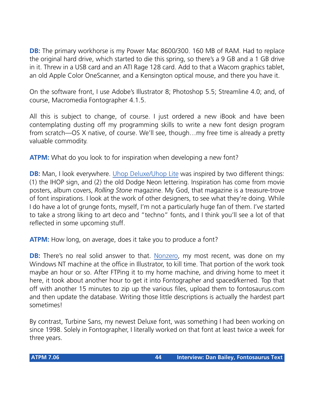**DB:** The primary workhorse is my Power Mac 8600/300. 160 MB of RAM. Had to replace the original hard drive, which started to die this spring, so there's a 9 GB and a 1 GB drive in it. Threw in a USB card and an ATI Rage 128 card. Add to that a Wacom graphics tablet, an old Apple Color OneScanner, and a Kensington optical mouse, and there you have it.

On the software front, I use Adobe's Illustrator 8; Photoshop 5.5; Streamline 4.0; and, of course, Macromedia Fontographer 4.1.5.

All this is subject to change, of course. I just ordered a new iBook and have been contemplating dusting off my programming skills to write a new font design program from scratch—OS X native, of course. We'll see, though…my free time is already a pretty valuable commodity.

**ATPM:** What do you look to for inspiration when developing a new font?

**DB:** Man, I look everywhere. [Uhop Deluxe/Uhop Lite](http://www.fontosaurus.com/fonts.asp?target=uhoplite) was inspired by two different things: (1) the IHOP sign, and (2) the old Dodge Neon lettering. Inspiration has come from movie posters, album covers, *Rolling Stone* magazine. My God, that magazine is a treasure-trove of font inspirations. I look at the work of other designers, to see what they're doing. While I do have a lot of grunge fonts, myself, I'm not a particularly huge fan of them. I've started to take a strong liking to art deco and "techno" fonts, and I think you'll see a lot of that reflected in some upcoming stuff.

**ATPM:** How long, on average, does it take you to produce a font?

**DB:** There's no real solid answer to that. [Nonzero,](http://www.fontosaurus.com/fonts.asp?target=nonzero) my most recent, was done on my Windows NT machine at the office in Illustrator, to kill time. That portion of the work took maybe an hour or so. After FTPing it to my home machine, and driving home to meet it here, it took about another hour to get it into Fontographer and spaced/kerned. Top that off with another 15 minutes to zip up the various files, upload them to fontosaurus.com and then update the database. Writing those little descriptions is actually the hardest part sometimes!

By contrast, Turbine Sans, my newest Deluxe font, was something I had been working on since 1998. Solely in Fontographer, I literally worked on that font at least twice a week for three years.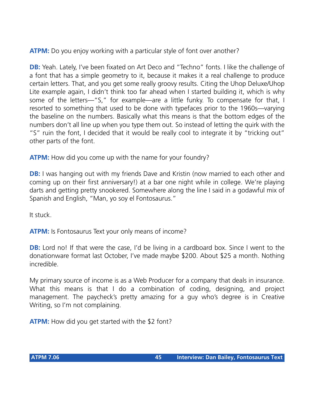**ATPM:** Do you enjoy working with a particular style of font over another?

**DB:** Yeah. Lately, I've been fixated on Art Deco and "Techno" fonts. I like the challenge of a font that has a simple geometry to it, because it makes it a real challenge to produce certain letters. That, and you get some really groovy results. Citing the Uhop Deluxe/Uhop Lite example again, I didn't think too far ahead when I started building it, which is why some of the letters—"S," for example—are a little funky. To compensate for that, I resorted to something that used to be done with typefaces prior to the 1960s—varying the baseline on the numbers. Basically what this means is that the bottom edges of the numbers don't all line up when you type them out. So instead of letting the quirk with the "S" ruin the font, I decided that it would be really cool to integrate it by "tricking out" other parts of the font.

**ATPM:** How did you come up with the name for your foundry?

**DB:** I was hanging out with my friends Dave and Kristin (now married to each other and coming up on their first anniversary!) at a bar one night while in college. We're playing darts and getting pretty snookered. Somewhere along the line I said in a godawful mix of Spanish and English, "Man, yo soy el Fontosaurus."

It stuck.

**ATPM:** Is Fontosaurus Text your only means of income?

**DB:** Lord no! If that were the case, I'd be living in a cardboard box. Since I went to the donationware format last October, I've made maybe \$200. About \$25 a month. Nothing incredible.

My primary source of income is as a Web Producer for a company that deals in insurance. What this means is that I do a combination of coding, designing, and project management. The paycheck's pretty amazing for a guy who's degree is in Creative Writing, so I'm not complaining.

**ATPM:** How did you get started with the \$2 font?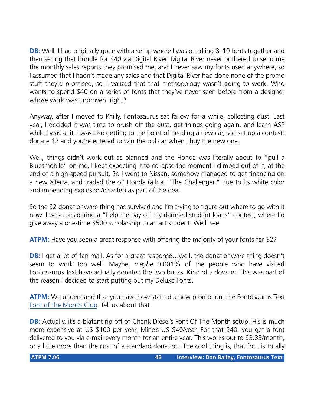**DB:** Well, I had originally gone with a setup where I was bundling 8–10 fonts together and then selling that bundle for \$40 via Digital River. Digital River never bothered to send me the monthly sales reports they promised me, and I never saw my fonts used anywhere, so I assumed that I hadn't made any sales and that Digital River had done none of the promo stuff they'd promised, so I realized that that methodology wasn't going to work. Who wants to spend \$40 on a series of fonts that they've never seen before from a designer whose work was unproven, right?

Anyway, after I moved to Philly, Fontosaurus sat fallow for a while, collecting dust. Last year, I decided it was time to brush off the dust, get things going again, and learn ASP while I was at it. I was also getting to the point of needing a new car, so I set up a contest: donate \$2 and you're entered to win the old car when I buy the new one.

Well, things didn't work out as planned and the Honda was literally about to "pull a Bluesmobile" on me. I kept expecting it to collapse the moment I climbed out of it, at the end of a high-speed pursuit. So I went to Nissan, somehow managed to get financing on a new XTerra, and traded the ol' Honda (a.k.a. "The Challenger," due to its white color and impending explosion/disaster) as part of the deal.

So the \$2 donationware thing has survived and I'm trying to figure out where to go with it now. I was considering a "help me pay off my damned student loans" contest, where I'd give away a one-time \$500 scholarship to an art student. We'll see.

**ATPM:** Have you seen a great response with offering the majority of your fonts for \$2?

**DB:** I get a lot of fan mail. As for a great response... well, the donationware thing doesn't seem to work too well. Maybe, *maybe* 0.001% of the people who have visited Fontosaurus Text have actually donated the two bucks. Kind of a downer. This was part of the reason I decided to start putting out my Deluxe Fonts.

**ATPM:** We understand that you have now started a new promotion, the Fontosaurus Text [Font of the Month Club.](http://www.fontosaurus.com/fotm.asp) Tell us about that.

**DB:** Actually, it's a blatant rip-off of Chank Diesel's Font Of The Month setup. His is much more expensive at US \$100 per year. Mine's US \$40/year. For that \$40, you get a font delivered to you via e-mail every month for an entire year. This works out to \$3.33/month, or a little more than the cost of a standard donation. The cool thing is, that font is totally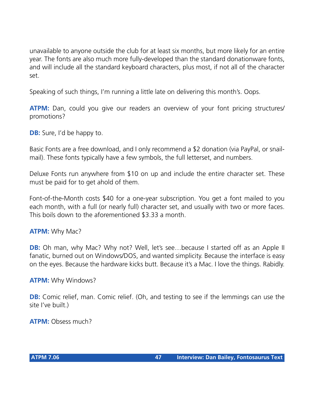unavailable to anyone outside the club for at least six months, but more likely for an entire year. The fonts are also much more fully-developed than the standard donationware fonts, and will include all the standard keyboard characters, plus most, if not all of the character set.

Speaking of such things, I'm running a little late on delivering this month's. Oops.

**ATPM:** Dan, could you give our readers an overview of your font pricing structures/ promotions?

**DB:** Sure, I'd be happy to.

Basic Fonts are a free download, and I only recommend a \$2 donation (via PayPal, or snailmail). These fonts typically have a few symbols, the full letterset, and numbers.

Deluxe Fonts run anywhere from \$10 on up and include the entire character set. These must be paid for to get ahold of them.

Font-of-the-Month costs \$40 for a one-year subscription. You get a font mailed to you each month, with a full (or nearly full) character set, and usually with two or more faces. This boils down to the aforementioned \$3.33 a month.

#### **ATPM:** Why Mac?

**DB:** Oh man, why Mac? Why not? Well, let's see...because I started off as an Apple II fanatic, burned out on Windows/DOS, and wanted simplicity. Because the interface is easy on the eyes. Because the hardware kicks butt. Because it's a Mac. I love the things. Rabidly.

#### **ATPM:** Why Windows?

**DB:** Comic relief, man. Comic relief. (Oh, and testing to see if the lemmings can use the site I've built.)

**ATPM:** Obsess much?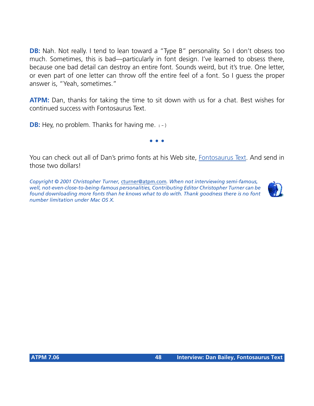**DB:** Nah. Not really. I tend to lean toward a "Type B" personality. So I don't obsess too much. Sometimes, this is bad—particularly in font design. I've learned to obsess there, because one bad detail can destroy an entire font. Sounds weird, but it's true. One letter, or even part of one letter can throw off the entire feel of a font. So I guess the proper answer is, "Yeah, sometimes."

**ATPM:** Dan, thanks for taking the time to sit down with us for a chat. Best wishes for continued success with Fontosaurus Text.

**DB:** Hey, no problem. Thanks for having me. : -)

**• • •**

You can check out all of Dan's primo fonts at his Web site, [Fontosaurus Text.](http://www.fontosaurus.com) And send in those two dollars!

*Copyright © 2001 Christopher Turner,* [cturner@atpm.com](mailto:cturner@atpm.com)*. When not interviewing semi-famous, well, not-even-close-to-being-famous personalities, Contributing Editor Christopher Turner can be found downloading more fonts than he knows what to do with. Thank goodness there is no font number limitation under Mac OS X.*

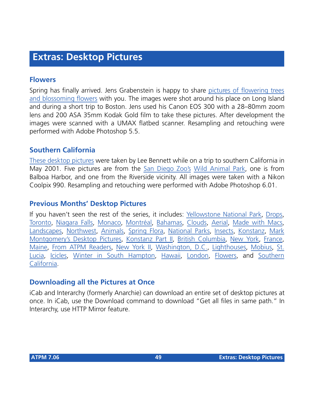## **Extras: Desktop Pictures**

### **Flowers**

Spring has finally arrived. Jens Grabenstein is happy to share [pictures of flowering trees](http://www.atpm.com/7.06/flowers/) [and blossoming flowers](http://www.atpm.com/7.06/flowers/) with you. The images were shot around his place on Long Island and during a short trip to Boston. Jens used his Canon EOS 300 with a 28–80mm zoom lens and 200 ASA 35mm Kodak Gold film to take these pictures. After development the images were scanned with a UMAX flatbed scanner. Resampling and retouching were performed with Adobe Photoshop 5.5.

### **Southern California**

[These desktop pictures](http://www.atpm.com/7.06/southern-california/) were taken by Lee Bennett while on a trip to southern California in May 2001. Five pictures are from the [San Diego Zoo's](http://www.sandiegozoo.com/) [Wild Animal Park](http://www.sandiegozoo.com/wap/), one is from Balboa Harbor, and one from the Riverside vicinity. All images were taken with a Nikon Coolpix 990. Resampling and retouching were performed with Adobe Photoshop 6.01.

### **Previous Months' Desktop Pictures**

If you haven't seen the rest of the series, it includes: [Yellowstone National Park,](http://www.atpm.com/5.03/yellowstone.shtml) [Drops,](http://www.atpm.com/5.05/drops/) [Toronto,](http://www.atpm.com/5.07/toronto/) [Niagara Falls](http://www.atpm.com/5.08/niagara/), [Monaco,](http://www.atpm.com/5.09/monaco/) [Montréal,](http://www.atpm.com/5.10/montreal/) [Bahamas](http://www.atpm.com/5.11/bahamas/), [Clouds](http://www.atpm.com/5.12/clouds/), [Aerial](http://www.atpm.com/6.01/aerial/), [Made with Macs,](http://www.atpm.com/6.02/madewithmacs/) [Landscapes](http://www.atpm.com/6.03/landscapes/), [Northwest,](http://www.atpm.com/6.04/northwest/) [Animals](http://www.atpm.com/6.05/animals/), [Spring Flora,](http://www.atpm.com/6.06/spring-flora/) [National Parks](http://www.atpm.com/6.07/national-parks/), [Insects](http://www.atpm.com/6.08/insects/), [Konstanz](http://www.atpm.com/6.08/konstanz/), [Mark](http://www.atpm.com/6.09/montgomery/) [Montgomery's Desktop Pictures,](http://www.atpm.com/6.09/montgomery/) [Konstanz Part II,](http://www.atpm.com/6.09/konstanz2) [British Columbia,](http://www.atpm.com/6.10/british-columbia/) [New York](http://www.atpm.com/6.10/new-york/), [France,](http://www.atpm.com/6.11/france/) [Maine](http://www.atpm.com/6.11/maine/), [From ATPM Readers](http://www.atpm.com/6.12/from-atpm-readers/), [New York II](http://www.atpm.com/7.01/new-york-ii/), [Washington, D.C.,](http://www.atpm.com/7.01/washington-dc/) [Lighthouses,](http://www.atpm.com/7.02/lighthouses/) [Mobius](http://www.atpm.com/7.02/mobius/), [St.](http://www.atpm.com/7.03/st-lucia/) [Lucia,](http://www.atpm.com/7.03/st-lucia/) [Icicles](http://www.atpm.com/7.04/icicles/), [Winter in South Hampton](http://www.atpm.com/7.04/winter-south-hampton/), [Hawaii](http://www.atpm.com/7.05/hawaii/), [London,](http://www.atpm.com/7.05/london/) [Flowers](http://www.atpm.com/7.06/flowers/), and [Southern](http://www.atpm.com/7.06/southern-california/) [California](http://www.atpm.com/7.06/southern-california/).

### **Downloading all the Pictures at Once**

iCab and Interarchy (formerly Anarchie) can download an entire set of desktop pictures at once. In iCab, use the Download command to download "Get all files in same path." In Interarchy, use HTTP Mirror feature.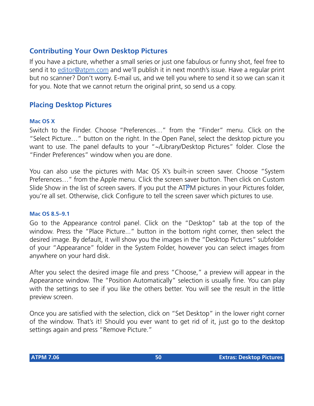## **Contributing Your Own Desktop Pictures**

If you have a picture, whether a small series or just one fabulous or funny shot, feel free to send it to [editor@atpm.com](mailto:editor@atpm.com) and we'll publish it in next month's issue. Have a regular print but no scanner? Don't worry. E-mail us, and we tell you where to send it so we can scan it for you. Note that we cannot return the original print, so send us a copy.

### **Placing Desktop Pictures**

#### **Mac OS X**

Switch to the Finder. Choose "Preferences…" from the "Finder" menu. Click on the "Select Picture…" button on the right. In the Open Panel, select the desktop picture you want to use. The panel defaults to your "~/Library/Desktop Pictures" folder. Close the "Finder Preferences" window when you are done.

You can also use the pictures with Mac OS X's built-in screen saver. Choose "System Preferences…" from the Apple menu. Click the screen saver button. Then click on Custom Slide Show in the list of screen savers. If you put the ATPM pictures in your Pictures folder, you're all set. Otherwise, click Configure to tell the screen saver which pictures to use.

#### **Mac OS 8.5–9.1**

Go to the Appearance control panel. Click on the "Desktop" tab at the top of the window. Press the "Place Picture..." button in the bottom right corner, then select the desired image. By default, it will show you the images in the "Desktop Pictures" subfolder of your "Appearance" folder in the System Folder, however you can select images from anywhere on your hard disk.

After you select the desired image file and press "Choose," a preview will appear in the Appearance window. The "Position Automatically" selection is usually fine. You can play with the settings to see if you like the others better. You will see the result in the little preview screen.

Once you are satisfied with the selection, click on "Set Desktop" in the lower right corner of the window. That's it! Should you ever want to get rid of it, just go to the desktop settings again and press "Remove Picture."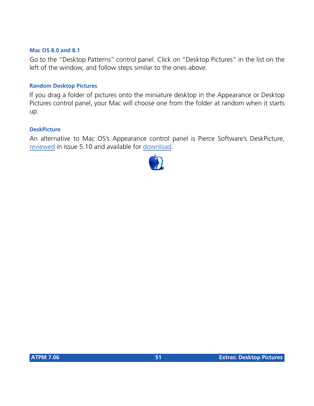#### **Mac OS 8.0 and 8.1**

Go to the "Desktop Patterns" control panel. Click on "Desktop Pictures" in the list on the left of the window, and follow steps similar to the ones above.

#### **Random Desktop Pictures**

If you drag a folder of pictures onto the miniature desktop in the Appearance or Desktop Pictures control panel, your Mac will choose one from the folder at random when it starts up.

#### **DeskPicture**

An alternative to Mac OS's Appearance control panel is Pierce Software's DeskPicture, [reviewed](http://www.atpm.com/5.10/roundup.shtml) in issue 5.10 and available for [download](http://www.peircesw.com/DeskPicture.html).

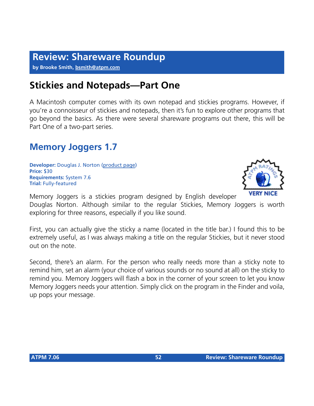## **Review: Shareware Roundup**

**by Brooke Smith, [bsmith@atpm.com](mailto:bsmith@atpm.com)**

## **Stickies and Notepads—Part One**

A Macintosh computer comes with its own notepad and stickies programs. However, if you're a connoisseur of stickies and notepads, then it's fun to explore other programs that go beyond the basics. As there were several shareware programs out there, this will be Part One of a two-part series.

## **Memory Joggers 1.7**

**Developer:** Douglas J. Norton ([product page\)](http://www.golden-lion.freeserve.co.uk/Downloads/MemoryJoggers.htm) **Price:** \$30 **Requirements:** System 7.6 **Trial:** Fully-featured

Memory Joggers is a stickies program designed by English developer Douglas Norton. Although similar to the regular Stickies, Memory Joggers is worth exploring for three reasons, especially if you like sound.

First, you can actually give the sticky a name (located in the title bar.) I found this to be extremely useful, as I was always making a title on the regular Stickies, but it never stood out on the note.

Second, there's an alarm. For the person who really needs more than a sticky note to remind him, set an alarm (your choice of various sounds or no sound at all) on the sticky to remind you. Memory Joggers will flash a box in the corner of your screen to let you know Memory Joggers needs your attention. Simply click on the program in the Finder and voila, up pops your message.

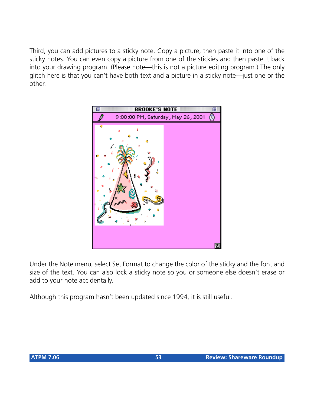Third, you can add pictures to a sticky note. Copy a picture, then paste it into one of the sticky notes. You can even copy a picture from one of the stickies and then paste it back into your drawing program. (Please note—this is not a picture editing program.) The only glitch here is that you can't have both text and a picture in a sticky note—just one or the other.



Under the Note menu, select Set Format to change the color of the sticky and the font and size of the text. You can also lock a sticky note so you or someone else doesn't erase or add to your note accidentally.

Although this program hasn't been updated since 1994, it is still useful.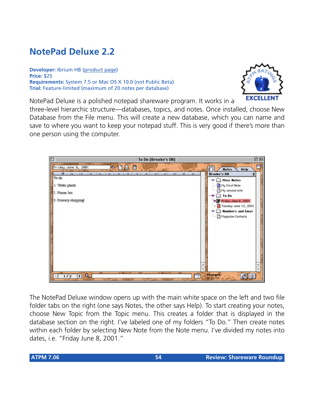## **NotePad Deluxe 2.2**

**Developer:** Ibrium HB [\(product page](http://www.ibrium.se/npdmain.html)) **Price:** \$25 **Requirements:** System 7.5 or Mac OS X 10.0 (not Public Beta) **Trial:** Feature-limited (maximum of 20 notes per database)



NotePad Deluxe is a polished notepad shareware program. It works in a

three-level hierarchic structure—databases, topics, and notes. Once installed, choose New Database from the File menu. This will create a new database, which you can name and save to where you want to keep your notepad stuff. This is very good if there's more than one person using the computer.

| $\Box$<br>To Do [Brooke's DB]                                                                                                                                                                                                      | 回目                                                                                                                                                                                                            |
|------------------------------------------------------------------------------------------------------------------------------------------------------------------------------------------------------------------------------------|---------------------------------------------------------------------------------------------------------------------------------------------------------------------------------------------------------------|
| O<br>$\bullet$ DA<br>Friday June 8, 2001<br>film and the condition of the conditions of a the character condition with a condition of the condition of the<br>║<br>To do<br>1. Water plants<br>2. Phone Jen<br>3. Grocery shopping | <b>Notes</b><br><b>Help</b><br>Brooke's DB<br><b>Misc Notes</b><br>Thy First Note<br>My second note<br>To Do<br>Friday June 8, 2001<br>Tuesday June 12, 2001<br><b>Numbers and Email</b><br>Magazine Contacts |
| <b>DIA</b><br>1/2                                                                                                                                                                                                                  | <b>Changed:</b><br>5/22/01<br>國軍                                                                                                                                                                              |

The NotePad Deluxe window opens up with the main white space on the left and two file folder tabs on the right (one says Notes, the other says Help). To start creating your notes, choose New Topic from the Topic menu. This creates a folder that is displayed in the database section on the right. I've labeled one of my folders "To Do." Then create notes within each folder by selecting New Note from the Note menu. I've divided my notes into dates, i.e. "Friday June 8, 2001."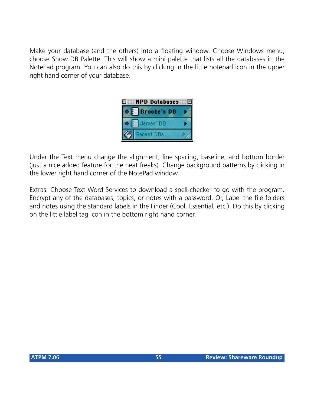Make your database (and the others) into a floating window. Choose Windows menu, choose Show DB Palette. This will show a mini palette that lists all the databases in the NotePad program. You can also do this by clicking in the little notepad icon in the upper right hand corner of your database.



Under the Text menu change the alignment, line spacing, baseline, and bottom border (just a nice added feature for the neat freaks). Change background patterns by clicking in the lower right hand corner of the NotePad window.

Extras: Choose Text Word Services to download a spell-checker to go with the program. Encrypt any of the databases, topics, or notes with a password. Or, Label the file folders and notes using the standard labels in the Finder (Cool, Essential, etc.). Do this by clicking on the little label tag icon in the bottom right hand corner.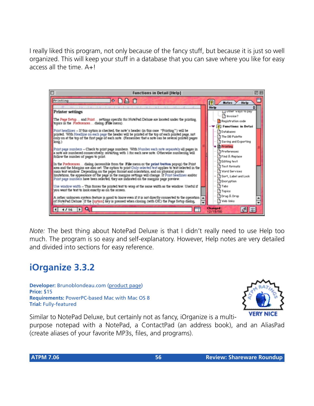I really liked this program, not only because of the fancy stuff, but because it is just so well organized. This will keep your stuff in a database that you can save where you like for easy access all the time.  $A+I$ 



*Note:* The best thing about NotePad Deluxe is that I didn't really need to use Help too much. The program is so easy and self-explanatory. However, Help notes are very detailed and divided into sections for easy reference.

## **iOrganize 3.3.2**

**Developer:** Brunoblondeau.com ([product page](http://www.brunoblondeau.com/iorganize/)) **Price:** \$15 **Requirements:** PowerPC-based Mac with Mac OS 8 **Trial:** Fully-featured



Similar to NotePad Deluxe, but certainly not as fancy, iOrganize is a multi-

purpose notepad with a NotePad, a ContactPad (an address book), and an AliasPad (create aliases of your favorite MP3s, files, and programs).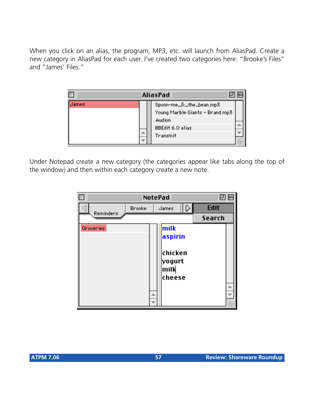When you click on an alias, the program, MP3, etc. will launch from AliasPad. Create a new category in AliasPad for each user. I've created two categories here: "Brooke's Files" and "James' Files."



Under Notepad create a new category (the categories appear like tabs along the top of the window) and then within each category create a new note.

|           | NotePad |                                                         |             |  |
|-----------|---------|---------------------------------------------------------|-------------|--|
|           | Brooke  | James                                                   | <b>Edit</b> |  |
| Reminders |         |                                                         | Search      |  |
| Groceries |         | milk<br>aspirin<br>chicken<br> yogurt<br>milk<br>cheese |             |  |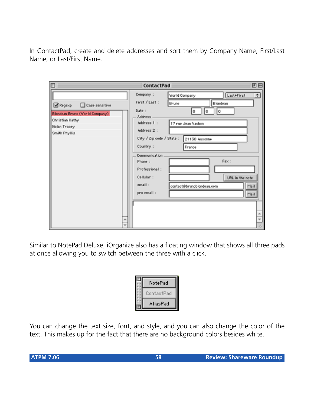In ContactPad, create and delete addresses and sort them by Company Name, First/Last Name, or Last/First Name.

| п                                      | ContactPad                |                           | 凹目               |
|----------------------------------------|---------------------------|---------------------------|------------------|
|                                        | Company:                  | World Company             | ¢)<br>Last+First |
| Case sensitive<br>Regexp               | First / Last:             | Bruno                     | Blondeau         |
| <b>Blondeau Bruno (Viorid Company)</b> | Date:                     | о<br>O                    | Ō                |
| Christian Kathy                        | Address<br>Address 1 :    | 17 rue Jean Vachon        |                  |
| Nolan Tracey                           | Address 2 :               |                           |                  |
| Smith Phyllis                          | City / Zip code / State : | 21130 Auxonne             |                  |
|                                        | Country:                  | France                    |                  |
|                                        | Communication             |                           |                  |
|                                        | Phone:                    |                           | Fax:             |
|                                        | Professional:             |                           |                  |
|                                        | Cellular:                 |                           | URL in the note  |
|                                        | email:                    | contact@brunoblondeau.com | Mail             |
|                                        | pro email:                |                           | Mail             |
|                                        |                           |                           |                  |
|                                        |                           |                           |                  |
| ۸                                      |                           |                           |                  |
| ÷                                      |                           |                           |                  |

Similar to NotePad Deluxe, iOrganize also has a floating window that shows all three pads at once allowing you to switch between the three with a click.

| NotePad    |  |
|------------|--|
| ContactPad |  |
| AliasPad   |  |

You can change the text size, font, and style, and you can also change the color of the text. This makes up for the fact that there are no background colors besides white.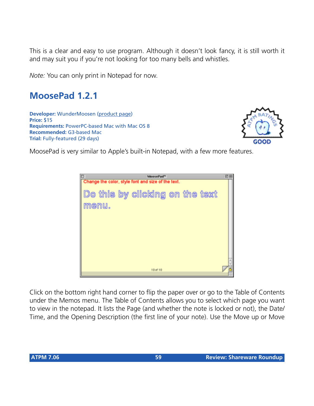This is a clear and easy to use program. Although it doesn't look fancy, it is still worth it and may suit you if you're not looking for too many bells and whistles.

*Note:* You can only print in Notepad for now.

## **MoosePad 1.2.1**

**Developer:** WunderMoosen ([product page](http://www.wundermoosen.com)) **Price:** \$15 **Requirements:** PowerPC-based Mac with Mac OS 8 **Recommended:** G3-based Mac **Trial:** Fully-featured (29 days)



MoosePad is very similar to Apple's built-in Notepad, with a few more features.

| MoosePad <sup>34</sup>                                                                         | 回目                  |
|------------------------------------------------------------------------------------------------|---------------------|
| Change the color, style font and size of the text.<br>Do this by clicking on the text<br>menu. |                     |
| 10 of 10                                                                                       | $\overline{ }$<br>÷ |

Click on the bottom right hand corner to flip the paper over or go to the Table of Contents under the Memos menu. The Table of Contents allows you to select which page you want to view in the notepad. It lists the Page (and whether the note is locked or not), the Date/ Time, and the Opening Description (the first line of your note). Use the Move up or Move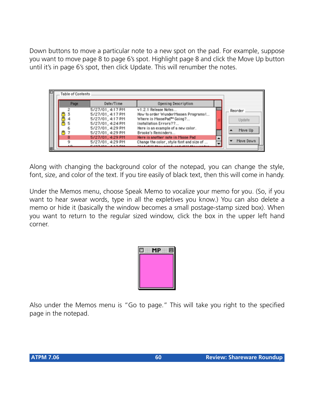Down buttons to move a particular note to a new spot on the pad. For example, suppose you want to move page 8 to page 6's spot. Highlight page 8 and click the Move Up button until it's in page 6's spot, then click Update. This will renumber the notes.

| Table of Contents |                  |                                                      |   |           |
|-------------------|------------------|------------------------------------------------------|---|-----------|
| Page              | Date/Time        | Opening Description                                  |   |           |
|                   | 5/27/01, 4:17 PM | v1.2.1 Release Notes                                 |   | Reorder   |
|                   | 5/27/01, 4:17 PM | How to order WunderMoosen Programs !                 |   |           |
|                   | 5/27/01, 4:17 PM | Where is MoosePad™ Going?                            |   | Update    |
|                   | 5/27/01, 4:24 PM | Installation Errors??                                |   |           |
|                   | 5/27/01, 4:29 PM | Here is an example of a new color.                   |   | Move Up   |
|                   | 5/27/01, 4:29 PM | Brooke's Reminders                                   |   |           |
| 8                 | 5/27/01, 4:29 PM | Here is another note in Moose Pad                    | ▲ |           |
| 9                 | 5/27/01, 4:29 PM | Change the color, style font and size of             |   | Move Down |
| <b>10</b>         | PICTICL ALCOHOL  | <b>Studies in the company's contract and company</b> |   |           |

Along with changing the background color of the notepad, you can change the style, font, size, and color of the text. If you tire easily of black text, then this will come in handy.

Under the Memos menu, choose Speak Memo to vocalize your memo for you. (So, if you want to hear swear words, type in all the expletives you know.) You can also delete a memo or hide it (basically the window becomes a small postage-stamp sized box). When you want to return to the regular sized window, click the box in the upper left hand corner.



Also under the Memos menu is "Go to page." This will take you right to the specified page in the notepad.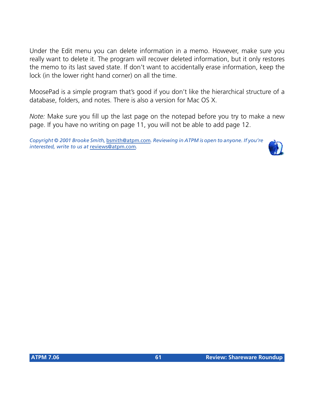Under the Edit menu you can delete information in a memo. However, make sure you really want to delete it. The program will recover deleted information, but it only restores the memo to its last saved state. If don't want to accidentally erase information, keep the lock (in the lower right hand corner) on all the time.

MoosePad is a simple program that's good if you don't like the hierarchical structure of a database, folders, and notes. There is also a version for Mac OS X.

*Note:* Make sure you fill up the last page on the notepad before you try to make a new page. If you have no writing on page 11, you will not be able to add page 12.

*Copyright © 2001 Brooke Smith,* [bsmith@atpm.com](mailto:bsmith@atpm.com)*. Reviewing in ATPM is open to anyone. If you're interested, write to us at* [reviews@atpm.com](mailto:reviews@atpm.com)*.*

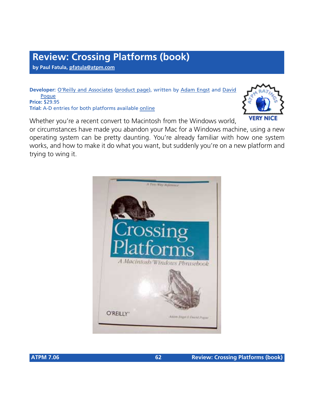## **Review: Crossing Platforms (book)**

**by Paul Fatula, [pfatula@atpm.com](mailto:pfatula@atpm.com)**

**Developer:** [O'Reilly and Associates](http://www.oreilly.com) ([product page](http://www.oreilly.com/catalog/platforms/)), written by [Adam Engst](http://www.tidbits.com/adam/) and [David](http://www.davidpogue.com/) [Pogue](http://www.davidpogue.com/) **Price:** \$29.95 **Trial:** A-D entries for both platforms available [online](http://www.oreilly.com/catalog/platforms/chapter/index.html)

Whether you're a recent convert to Macintosh from the Windows world,

or circumstances have made you abandon your Mac for a Windows machine, using a new operating system can be pretty daunting. You're already familiar with how one system works, and how to make it do what you want, but suddenly you're on a new platform and trying to wing it.



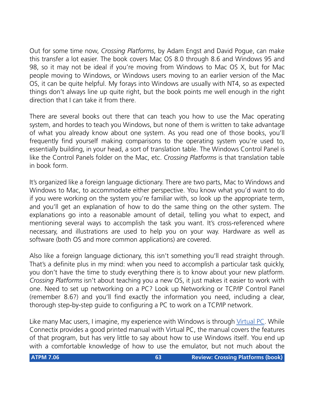Out for some time now, *Crossing Platforms*, by Adam Engst and David Pogue, can make this transfer a lot easier. The book covers Mac OS 8.0 through 8.6 and Windows 95 and 98, so it may not be ideal if you're moving from Windows to Mac OS X, but for Mac people moving to Windows, or Windows users moving to an earlier version of the Mac OS, it can be quite helpful. My forays into Windows are usually with NT4, so as expected things don't always line up quite right, but the book points me well enough in the right direction that I can take it from there.

There are several books out there that can teach you how to use the Mac operating system, and hordes to teach you Windows, but none of them is written to take advantage of what you already know about one system. As you read one of those books, you'll frequently find yourself making comparisons to the operating system you're used to, essentially building, in your head, a sort of translation table. The Windows Control Panel is like the Control Panels folder on the Mac, etc. *Crossing Platforms* is that translation table in book form.

It's organized like a foreign language dictionary. There are two parts, Mac to Windows and Windows to Mac, to accommodate either perspective. You know what you'd want to do if you were working on the system you're familiar with, so look up the appropriate term, and you'll get an explanation of how to do the same thing on the other system. The explanations go into a reasonable amount of detail, telling you what to expect, and mentioning several ways to accomplish the task you want. It's cross-referenced where necessary, and illustrations are used to help you on your way. Hardware as well as software (both OS and more common applications) are covered.

Also like a foreign language dictionary, this isn't something you'll read straight through. That's a definite plus in my mind: when you need to accomplish a particular task quickly, you don't have the time to study everything there is to know about your new platform. *Crossing Platforms* isn't about teaching you a new OS, it just makes it easier to work with one. Need to set up networking on a PC? Look up Networking or TCP/IP Control Panel (remember 8.6?) and you'll find exactly the information you need, including a clear, thorough step-by-step guide to configuring a PC to work on a TCP/IP network.

Like many Mac users, I imagine, my experience with Windows is through [Virtual PC.](http://www.atpm.com/7.04/virtual-pc.shtml) While Connectix provides a good printed manual with Virtual PC, the manual covers the features of that program, but has very little to say about how to use Windows itself. You end up with a comfortable knowledge of how to use the emulator, but not much about the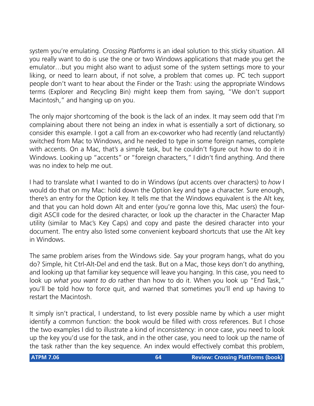system you're emulating. *Crossing Platforms* is an ideal solution to this sticky situation. All you really want to do is use the one or two Windows applications that made you get the emulator…but you might also want to adjust some of the system settings more to your liking, or need to learn about, if not solve, a problem that comes up. PC tech support people don't want to hear about the Finder or the Trash: using the appropriate Windows terms (Explorer and Recycling Bin) might keep them from saying, "We don't support Macintosh," and hanging up on you.

The only major shortcoming of the book is the lack of an index. It may seem odd that I'm complaining about there not being an index in what is essentially a sort of dictionary, so consider this example. I got a call from an ex-coworker who had recently (and reluctantly) switched from Mac to Windows, and he needed to type in some foreign names, complete with accents. On a Mac, that's a simple task, but he couldn't figure out how to do it in Windows. Looking up "accents" or "foreign characters," I didn't find anything. And there was no index to help me out.

I had to translate what I wanted to do in Windows (put accents over characters) to *how* I would do that on my Mac: hold down the Option key and type a character. Sure enough, there's an entry for the Option key. It tells me that the Windows equivalent is the Alt key, and that you can hold down Alt and enter (you're gonna love this, Mac users) the fourdigit ASCII code for the desired character, or look up the character in the Character Map utility (similar to Mac's Key Caps) and copy and paste the desired character into your document. The entry also listed some convenient keyboard shortcuts that use the Alt key in Windows.

The same problem arises from the Windows side. Say your program hangs, what do you do? Simple, hit Ctrl-Alt-Del and end the task. But on a Mac, those keys don't do anything, and looking up that familiar key sequence will leave you hanging. In this case, you need to look up *what you want to do* rather than how to do it. When you look up "End Task," you'll be told how to force quit, and warned that sometimes you'll end up having to restart the Macintosh.

It simply isn't practical, I understand, to list every possible name by which a user might identify a common function: the book would be filled with cross references. But I chose the two examples I did to illustrate a kind of inconsistency: in once case, you need to look up the key you'd use for the task, and in the other case, you need to look up the name of the task rather than the key sequence. An index would effectively combat this problem,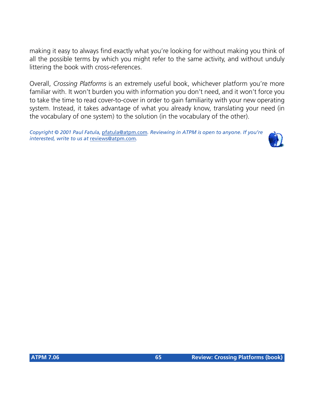making it easy to always find exactly what you're looking for without making you think of all the possible terms by which you might refer to the same activity, and without unduly littering the book with cross-references.

Overall, *Crossing Platforms* is an extremely useful book, whichever platform you're more familiar with. It won't burden you with information you don't need, and it won't force you to take the time to read cover-to-cover in order to gain familiarity with your new operating system. Instead, it takes advantage of what you already know, translating your need (in the vocabulary of one system) to the solution (in the vocabulary of the other).

*Copyright © 2001 Paul Fatula,* [pfatula@atpm.com](mailto:pfatula@atpm.com)*. Reviewing in ATPM is open to anyone. If you're interested, write to us at* [reviews@atpm.com](mailto:reviews@atpm.com)*.*

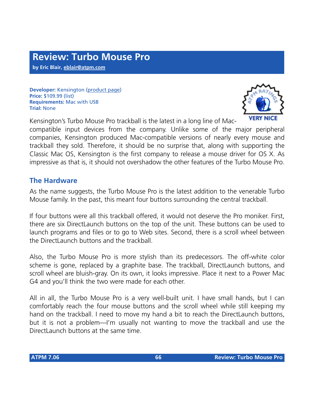**Developer:** Kensington ([product page\)](http://www.kensington.com/products/pro_mic_d1399.html) **Price:** \$109.99 (list) **Requirements:** Mac with USB **Trial:** None



Kensington's Turbo Mouse Pro trackball is the latest in a long line of Mac-

compatible input devices from the company. Unlike some of the major peripheral companies, Kensington produced Mac-compatible versions of nearly every mouse and trackball they sold. Therefore, it should be no surprise that, along with supporting the Classic Mac OS, Kensington is the first company to release a mouse driver for OS X. As impressive as that is, it should not overshadow the other features of the Turbo Mouse Pro.

### **The Hardware**

As the name suggests, the Turbo Mouse Pro is the latest addition to the venerable Turbo Mouse family. In the past, this meant four buttons surrounding the central trackball.

If four buttons were all this trackball offered, it would not deserve the Pro moniker. First, there are six DirectLaunch buttons on the top of the unit. These buttons can be used to launch programs and files or to go to Web sites. Second, there is a scroll wheel between the DirectLaunch buttons and the trackball.

Also, the Turbo Mouse Pro is more stylish than its predecessors. The off-white color scheme is gone, replaced by a graphite base. The trackball, DirectLaunch buttons, and scroll wheel are bluish-gray. On its own, it looks impressive. Place it next to a Power Mac G4 and you'll think the two were made for each other.

All in all, the Turbo Mouse Pro is a very well-built unit. I have small hands, but I can comfortably reach the four mouse buttons and the scroll wheel while still keeping my hand on the trackball. I need to move my hand a bit to reach the DirectLaunch buttons, but it is not a problem—I'm usually not wanting to move the trackball and use the DirectLaunch buttons at the same time.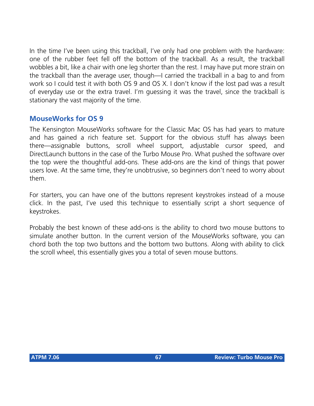In the time I've been using this trackball, I've only had one problem with the hardware: one of the rubber feet fell off the bottom of the trackball. As a result, the trackball wobbles a bit, like a chair with one leg shorter than the rest. I may have put more strain on the trackball than the average user, though—I carried the trackball in a bag to and from work so I could test it with both OS 9 and OS X. I don't know if the lost pad was a result of everyday use or the extra travel. I'm guessing it was the travel, since the trackball is stationary the vast majority of the time.

## **MouseWorks for OS 9**

The Kensington MouseWorks software for the Classic Mac OS has had years to mature and has gained a rich feature set. Support for the obvious stuff has always been there—assignable buttons, scroll wheel support, adjustable cursor speed, and DirectLaunch buttons in the case of the Turbo Mouse Pro. What pushed the software over the top were the thoughtful add-ons. These add-ons are the kind of things that power users love. At the same time, they're unobtrusive, so beginners don't need to worry about them.

For starters, you can have one of the buttons represent keystrokes instead of a mouse click. In the past, I've used this technique to essentially script a short sequence of keystrokes.

Probably the best known of these add-ons is the ability to chord two mouse buttons to simulate another button. In the current version of the MouseWorks software, you can chord both the top two buttons and the bottom two buttons. Along with ability to click the scroll wheel, this essentially gives you a total of seven mouse buttons.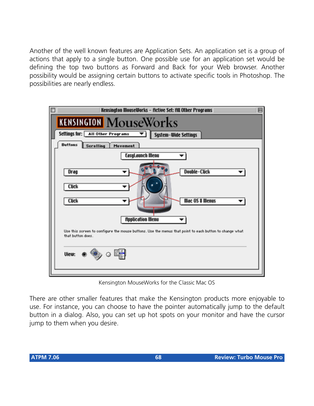Another of the well known features are Application Sets. An application set is a group of actions that apply to a single button. One possible use for an application set would be defining the top two buttons as Forward and Back for your Web browser. Another possibility would be assigning certain buttons to activate specific tools in Photoshop. The possibilities are nearly endless.



Kensington MouseWorks for the Classic Mac OS

There are other smaller features that make the Kensington products more enjoyable to use. For instance, you can choose to have the pointer automatically jump to the default button in a dialog. Also, you can set up hot spots on your monitor and have the cursor jump to them when you desire.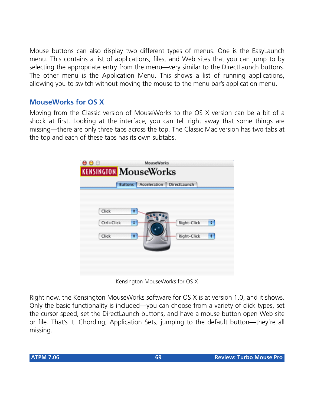Mouse buttons can also display two different types of menus. One is the EasyLaunch menu. This contains a list of applications, files, and Web sites that you can jump to by selecting the appropriate entry from the menu—very similar to the DirectLaunch buttons. The other menu is the Application Menu. This shows a list of running applications, allowing you to switch without moving the mouse to the menu bar's application menu.

## **MouseWorks for OS X**

Moving from the Classic version of MouseWorks to the OS X version can be a bit of a shock at first. Looking at the interface, you can tell right away that some things are missing—there are only three tabs across the top. The Classic Mac version has two tabs at the top and each of these tabs has its own subtabs.

| 000<br><b>KENSINGTON MOUSEWOTKS</b> | <b>MouseWorks</b>                                    |                            |        |
|-------------------------------------|------------------------------------------------------|----------------------------|--------|
| Click<br>Ctrl+Click<br>Click        | Buttons   Acceleration   DirectLaunch<br>٠<br>٠<br>÷ | Right-Click<br>Right-Click | ÷<br>÷ |

Kensington MouseWorks for OS X

Right now, the Kensington MouseWorks software for OS X is at version 1.0, and it shows. Only the basic functionality is included—you can choose from a variety of click types, set the cursor speed, set the DirectLaunch buttons, and have a mouse button open Web site or file. That's it. Chording, Application Sets, jumping to the default button—they're all missing.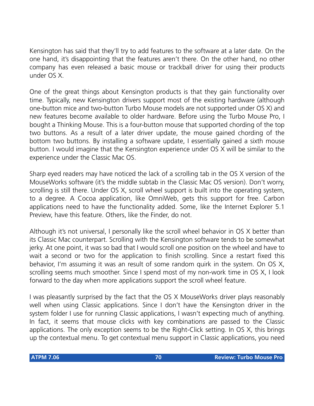Kensington has said that they'll try to add features to the software at a later date. On the one hand, it's disappointing that the features aren't there. On the other hand, no other company has even released a basic mouse or trackball driver for using their products under OS X.

One of the great things about Kensington products is that they gain functionality over time. Typically, new Kensington drivers support most of the existing hardware (although one-button mice and two-button Turbo Mouse models are not supported under OS X) and new features become available to older hardware. Before using the Turbo Mouse Pro, I bought a Thinking Mouse. This is a four-button mouse that supported chording of the top two buttons. As a result of a later driver update, the mouse gained chording of the bottom two buttons. By installing a software update, I essentially gained a sixth mouse button. I would imagine that the Kensington experience under OS X will be similar to the experience under the Classic Mac OS.

Sharp eyed readers may have noticed the lack of a scrolling tab in the OS X version of the MouseWorks software (it's the middle subtab in the Classic Mac OS version). Don't worry, scrolling is still there. Under OS X, scroll wheel support is built into the operating system, to a degree. A Cocoa application, like OmniWeb, gets this support for free. Carbon applications need to have the functionality added. Some, like the Internet Explorer 5.1 Preview, have this feature. Others, like the Finder, do not.

Although it's not universal, I personally like the scroll wheel behavior in OS X better than its Classic Mac counterpart. Scrolling with the Kensington software tends to be somewhat jerky. At one point, it was so bad that I would scroll one position on the wheel and have to wait a second or two for the application to finish scrolling. Since a restart fixed this behavior, I'm assuming it was an result of some random quirk in the system. On OS X, scrolling seems much smoother. Since I spend most of my non-work time in OS X, I look forward to the day when more applications support the scroll wheel feature.

I was pleasantly surprised by the fact that the OS X MouseWorks driver plays reasonably well when using Classic applications. Since I don't have the Kensington driver in the system folder I use for running Classic applications, I wasn't expecting much of anything. In fact, it seems that mouse clicks with key combinations are passed to the Classic applications. The only exception seems to be the Right-Click setting. In OS X, this brings up the contextual menu. To get contextual menu support in Classic applications, you need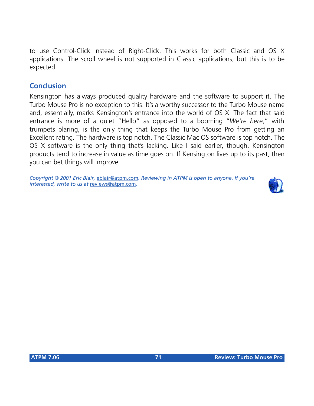to use Control-Click instead of Right-Click. This works for both Classic and OS X applications. The scroll wheel is not supported in Classic applications, but this is to be expected.

## **Conclusion**

Kensington has always produced quality hardware and the software to support it. The Turbo Mouse Pro is no exception to this. It's a worthy successor to the Turbo Mouse name and, essentially, marks Kensington's entrance into the world of OS X. The fact that said entrance is more of a quiet "Hello" as opposed to a booming "*We're here*," with trumpets blaring, is the only thing that keeps the Turbo Mouse Pro from getting an Excellent rating. The hardware is top notch. The Classic Mac OS software is top notch. The OS X software is the only thing that's lacking. Like I said earlier, though, Kensington products tend to increase in value as time goes on. If Kensington lives up to its past, then you can bet things will improve.

*Copyright © 2001 Eric Blair,* [eblair@atpm.com](mailto:eblair@atpm.com)*. Reviewing in ATPM is open to anyone. If you're interested, write to us at* [reviews@atpm.com](mailto:reviews@atpm.com)*.*

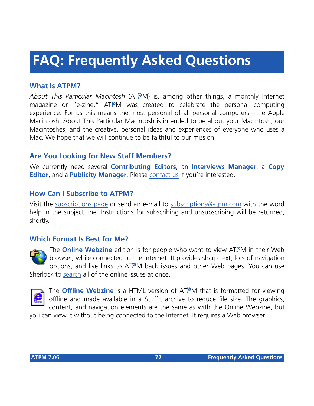# **FAQ: Frequently Asked Questions**

## **What Is ATPM?**

*About This Particular Macintosh* (ATPM) is, among other things, a monthly Internet magazine or "e-zine." ATPM was created to celebrate the personal computing experience. For us this means the most personal of all personal computers—the Apple Macintosh. About This Particular Macintosh is intended to be about your Macintosh, our Macintoshes, and the creative, personal ideas and experiences of everyone who uses a Mac. We hope that we will continue to be faithful to our mission.

## **Are You Looking for New Staff Members?**

We currently need several **Contributing Editors**, an **Interviews Manager**, a **Copy Editor**, and a **Publicity Manager**. Please [contact us](mailto:editor@atpm.com) if you're interested.

## **How Can I Subscribe to ATPM?**

Visit the [subscriptions page](http://www.atpm.com/subscribe) or send an e-mail to [subscriptions@atpm.com](mailto:subscriptions@atpm.com) with the word help in the subject line. Instructions for subscribing and unsubscribing will be returned, shortly.

### **Which Format Is Best for Me?**



The **Online Webzine** edition is for people who want to view ATPM in their Web browser, while connected to the Internet. It provides sharp text, lots of navigation options, and live links to ATPM back issues and other Web pages. You can use Sherlock to [search](http://www.atpm.com/search) all of the online issues at once.



The **Offline Webzine** is a HTML version of ATPM that is formatted for viewing offline and made available in a StuffIt archive to reduce file size. The graphics, content, and navigation elements are the same as with the Online Webzine, but

you can view it without being connected to the Internet. It requires a Web browser.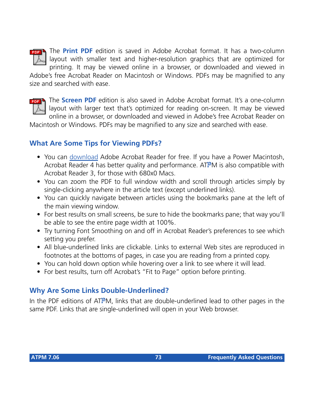

The **Print PDF** edition is saved in Adobe Acrobat format. It has a two-column layout with smaller text and higher-resolution graphics that are optimized for printing. It may be viewed online in a browser, or downloaded and viewed in

Adobe's free Acrobat Reader on Macintosh or Windows. PDFs may be magnified to any size and searched with ease.



The **Screen PDF** edition is also saved in Adobe Acrobat format. It's a one-column layout with larger text that's optimized for reading on-screen. It may be viewed online in a browser, or downloaded and viewed in Adobe's free Acrobat Reader on

Macintosh or Windows. PDFs may be magnified to any size and searched with ease.

## **What Are Some Tips for Viewing PDFs?**

- You can [download](http://www.adobe.com/prodindex/acrobat/readstep.html) Adobe Acrobat Reader for free. If you have a Power Macintosh, Acrobat Reader 4 has better quality and performance. ATPM is also compatible with Acrobat Reader 3, for those with 680x0 Macs.
- You can zoom the PDF to full window width and scroll through articles simply by single-clicking anywhere in the article text (except underlined links).
- You can quickly navigate between articles using the bookmarks pane at the left of the main viewing window.
- For best results on small screens, be sure to hide the bookmarks pane; that way you'll be able to see the entire page width at 100%.
- Try turning Font Smoothing on and off in Acrobat Reader's preferences to see which setting you prefer.
- All blue-underlined links are clickable. Links to external Web sites are reproduced in footnotes at the bottoms of pages, in case you are reading from a printed copy.
- You can hold down option while hovering over a link to see where it will lead.
- For best results, turn off Acrobat's "Fit to Page" option before printing.

# **Why Are Some Links Double-Underlined?**

In the PDF editions of ATPM, links that are double-underlined lead to other pages in the same PDF. Links that are single-underlined will open in your Web browser.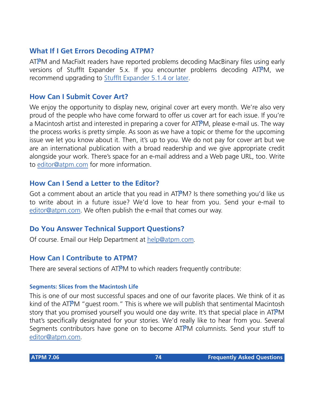## **What If I Get Errors Decoding ATPM?**

ATPM and MacFixIt readers have reported problems decoding MacBinary files using early versions of Stufflt Expander 5.x. If you encounter problems decoding ATPM, we recommend upgrading to [StuffIt Expander 5.1.4 or later](http://www.aladdinsys.com/expander/index.html).

### **How Can I Submit Cover Art?**

We enjoy the opportunity to display new, original cover art every month. We're also very proud of the people who have come forward to offer us cover art for each issue. If you're a Macintosh artist and interested in preparing a cover for ATPM, please e-mail us. The way the process works is pretty simple. As soon as we have a topic or theme for the upcoming issue we let you know about it. Then, it's up to you. We do not pay for cover art but we are an international publication with a broad readership and we give appropriate credit alongside your work. There's space for an e-mail address and a Web page URL, too. Write to [editor@atpm.com](mailto:editor@atpm.com) for more information.

## **How Can I Send a Letter to the Editor?**

Got a comment about an article that you read in  $ATPM$ ? Is there something you'd like us to write about in a future issue? We'd love to hear from you. Send your e-mail to [editor@atpm.com.](mailto:editor@atpm.com) We often publish the e-mail that comes our way.

## **Do You Answer Technical Support Questions?**

Of course. Email our Help Department at [help@atpm.com](mailto:help@atpm.com).

### **How Can I Contribute to ATPM?**

There are several sections of ATPM to which readers frequently contribute:

#### **Segments: Slices from the Macintosh Life**

This is one of our most successful spaces and one of our favorite places. We think of it as kind of the ATPM "guest room." This is where we will publish that sentimental Macintosh story that you promised yourself you would one day write. It's that special place in ATPM that's specifically designated for your stories. We'd really like to hear from you. Several Segments contributors have gone on to become ATPM columnists. Send your stuff to [editor@atpm.com.](mailto:editor@atpm.com)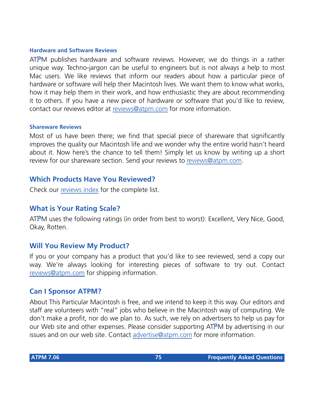#### **Hardware and Software Reviews**

ATPM publishes hardware and software reviews. However, we do things in a rather unique way. Techno-jargon can be useful to engineers but is not always a help to most Mac users. We like reviews that inform our readers about how a particular piece of hardware or software will help their Macintosh lives. We want them to know what works, how it may help them in their work, and how enthusiastic they are about recommending it to others. If you have a new piece of hardware or software that you'd like to review, contact our reviews editor at [reviews@atpm.com](mailto:reviews@atpm.com) for more information.

#### **Shareware Reviews**

Most of us have been there; we find that special piece of shareware that significantly improves the quality our Macintosh life and we wonder why the entire world hasn't heard about it. Now here's the chance to tell them! Simply let us know by writing up a short review for our shareware section. Send your reviews to [reviews@atpm.com](mailto:reviews@atpm.com).

### **Which Products Have You Reviewed?**

Check our [reviews index](http://www.atpm.com/reviews) for the complete list.

### **What is Your Rating Scale?**

ATPM uses the following ratings (in order from best to worst): Excellent, Very Nice, Good, Okay, Rotten.

## **Will You Review My Product?**

If you or your company has a product that you'd like to see reviewed, send a copy our way. We're always looking for interesting pieces of software to try out. Contact [reviews@atpm.com](mailto:reviews@atpm.com) for shipping information.

### **Can I Sponsor ATPM?**

About This Particular Macintosh is free, and we intend to keep it this way. Our editors and staff are volunteers with "real" jobs who believe in the Macintosh way of computing. We don't make a profit, nor do we plan to. As such, we rely on advertisers to help us pay for our Web site and other expenses. Please consider supporting ATPM by advertising in our issues and on our web site. Contact<advertise@atpm.com>for more information.